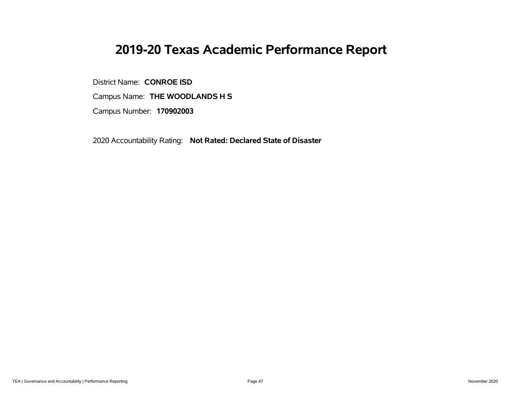# **2019-20 Texas Academic Performance Report**

District Name: **CONROE ISD**

Campus Name: **THE WOODLANDS H S**

Campus Number: **170902003**

2020 Accountability Rating: **Not Rated: Declared State of Disaster**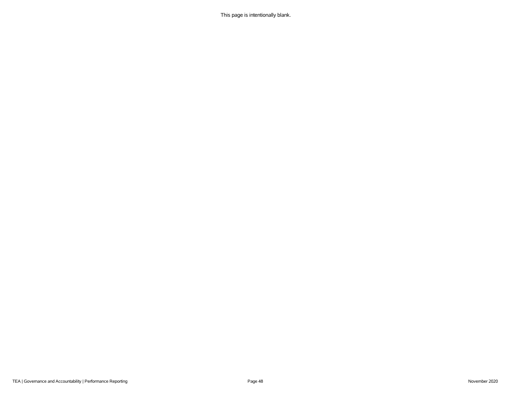This page is intentionally blank.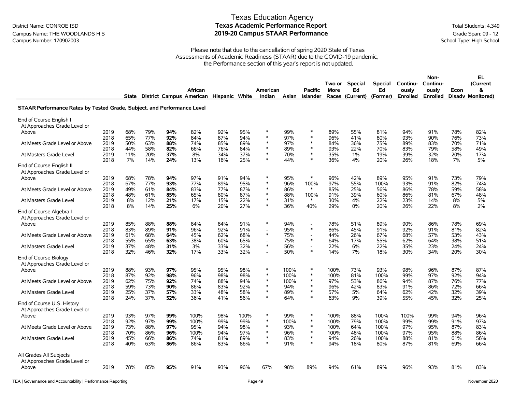# Texas Education Agency District Name: CONROE ISD **Texas Academic Performance Report** Total Students: 4,349

|                                                                         |              | <b>State</b> |            |            | African<br><b>District Campus American</b> | <b>Hispanic White</b> |            | American<br>Indian       | Asian       | <b>Pacific</b><br><b>Islander</b> | Two or<br><b>More</b> | <b>Special</b><br>Ed<br>Races (Current) | <b>Special</b><br>Ed<br>(Former) | Continu-<br>ously<br><b>Enrolled</b> | Non-<br>Continu-<br>ously<br><b>Enrolled</b> | Econ       | EL<br>(Current<br>&<br>Disadv Monitored) |
|-------------------------------------------------------------------------|--------------|--------------|------------|------------|--------------------------------------------|-----------------------|------------|--------------------------|-------------|-----------------------------------|-----------------------|-----------------------------------------|----------------------------------|--------------------------------------|----------------------------------------------|------------|------------------------------------------|
| STAAR Performance Rates by Tested Grade, Subject, and Performance Level |              |              |            |            |                                            |                       |            |                          |             |                                   |                       |                                         |                                  |                                      |                                              |            |                                          |
| End of Course English I                                                 |              |              |            |            |                                            |                       |            |                          |             |                                   |                       |                                         |                                  |                                      |                                              |            |                                          |
| At Approaches Grade Level or<br>Above                                   | 2019         | 68%          | 79%        | 94%        | 82%                                        | 92%                   | 95%        |                          | 99%         | $\ast$                            | 89%                   | 55%                                     | 81%                              | 94%                                  | 91%                                          | 78%        | 82%                                      |
|                                                                         | 2018         | 65%          | 77%        | 92%        | 84%                                        | 87%                   | 94%        | $\ast$                   | 97%         | $\ast$                            | 96%                   | 41%                                     | 80%                              | 93%                                  | 90%                                          | 76%        | 73%                                      |
| At Meets Grade Level or Above                                           | 2019<br>2018 | 50%<br>44%   | 63%<br>58% | 88%<br>82% | 74%<br>66%                                 | 85%<br>76%            | 89%<br>84% | $\ast$<br>$\ast$         | 97%<br>89%  | $\ast$<br>$\ast$                  | 84%<br>93%            | 36%<br>22%                              | 75%<br>70%                       | 89%<br>83%                           | 83%<br>79%                                   | 70%<br>58% | 71%<br>49%                               |
| At Masters Grade Level                                                  | 2019<br>2018 | 11%<br>7%    | 20%<br>14% | 37%<br>24% | 8%<br>13%                                  | 34%<br>16%            | 37%<br>25% | $\ast$                   | 70%<br>44%  | $\ast$<br>$\ast$                  | 35%<br>36%            | $1\%$<br>4%                             | 19%<br>20%                       | 39%<br>26%                           | 32%<br>18%                                   | 20%<br>7%  | 17%<br>5%                                |
| End of Course English II                                                |              |              |            |            |                                            |                       |            |                          |             |                                   |                       |                                         |                                  |                                      |                                              |            |                                          |
| At Approaches Grade Level or                                            |              |              |            |            |                                            |                       |            |                          |             |                                   |                       |                                         |                                  |                                      |                                              |            |                                          |
| Above                                                                   | 2019         | 68%          | 78%        | 94%        | 97%                                        | 91%                   | 94%        | $\ast$                   | 95%         | $\ast$                            | 96%                   | 42%                                     | 89%                              | 95%                                  | 91%                                          | 73%        | 79%                                      |
|                                                                         | 2018         | 67%          | 77%        | 93%        | 77%                                        | 89%                   | 95%        | $\ast$                   | 96%         | 100%                              | 97%                   | 55%                                     | 100%                             | 93%                                  | 91%                                          | 82%        | 74%                                      |
| At Meets Grade Level or Above                                           | 2019         | 49%          | 61%        | 84%        | 83%                                        | 77%                   | 87%        | $\ast$<br>$\ast$         | 86%         | $\ast$                            | 85%                   | 25%                                     | 56%                              | 86%                                  | 78%                                          | 59%        | 58%                                      |
| At Masters Grade Level                                                  | 2018<br>2019 | 48%<br>8%    | 61%<br>12% | 85%<br>21% | 65%<br>17%                                 | 80%<br>15%            | 87%<br>22% | $\ast$                   | 88%<br>31%  | 100%<br>$\ast$                    | 91%<br>30%            | 39%<br>4%                               | 60%<br>22%                       | 86%<br>23%                           | 81%<br>14%                                   | 67%<br>8%  | 48%<br>5%                                |
|                                                                         | 2018         | 8%           | 14%        | 25%        | 6%                                         | 20%                   | 27%        | $\ast$                   | 36%         | 40%                               | 29%                   | $0\%$                                   | 20%                              | 26%                                  | 22%                                          | 8%         | 2%                                       |
| End of Course Algebra I                                                 |              |              |            |            |                                            |                       |            |                          |             |                                   |                       |                                         |                                  |                                      |                                              |            |                                          |
| At Approaches Grade Level or                                            |              |              |            |            |                                            |                       |            |                          |             |                                   |                       |                                         |                                  |                                      |                                              |            |                                          |
| Above                                                                   | 2019         | 85%          | 88%        | 88%        | 84%                                        | 84%                   | 91%        | $\ast$                   | 94%         | $\overline{\phantom{a}}$          | 78%                   | 51%                                     | 89%                              | 90%                                  | 86%                                          | 78%        | 69%                                      |
|                                                                         | 2018         | 83%          | 89%        | 91%        | 96%                                        | 92%                   | 91%        | $\overline{a}$<br>$\ast$ | 95%         | $\ast$                            | 86%                   | 45%                                     | 91%                              | 92%                                  | 91%                                          | 81%        | 82%                                      |
| At Meets Grade Level or Above                                           | 2019<br>2018 | 61%<br>55%   | 68%<br>65% | 64%<br>63% | 45%<br>38%                                 | 62%<br>60%            | 68%<br>65% | $\overline{a}$           | 75%<br>75%  | $\sim$<br>$\ast$                  | 44%<br>64%            | 26%<br>17%                              | 67%<br>55%                       | 68%<br>62%                           | 57%<br>64%                                   | 53%<br>38% | 43%<br>51%                               |
| At Masters Grade Level                                                  | 2019         | 37%          | 48%        | 31%        | 3%                                         | 33%                   | 32%        | $\ast$                   | 56%         | $\blacksquare$                    | 22%                   | 6%                                      | 22%                              | 35%                                  | 23%                                          | 24%        | 24%                                      |
|                                                                         | 2018         | 32%          | 46%        | 32%        | 17%                                        | 33%                   | 32%        |                          | 50%         | $\ast$                            | 14%                   | 7%                                      | 18%                              | 30%                                  | 34%                                          | 20%        | 30%                                      |
| End of Course Biology                                                   |              |              |            |            |                                            |                       |            |                          |             |                                   |                       |                                         |                                  |                                      |                                              |            |                                          |
| At Approaches Grade Level or                                            |              |              |            |            |                                            |                       |            |                          |             |                                   |                       |                                         |                                  |                                      |                                              |            |                                          |
| Above                                                                   | 2019         | 88%          | 93%        | 97%        | 95%                                        | 95%                   | 98%        | $\ast$<br>$\ast$         | 100%        | $\ast$<br>$\ast$                  | 100%                  | 73%                                     | 93%                              | 98%                                  | 96%                                          | 87%        | 87%                                      |
|                                                                         | 2018         | 87%<br>62%   | 92%<br>75% | 98%        | 96%                                        | 98%<br>88%            | 98%<br>94% | $\ast$                   | 100%        | $\ast$                            | 100%<br>97%           | 81%                                     | 100%                             | 99%                                  | 97%<br>87%                                   | 92%<br>76% | 94%                                      |
| At Meets Grade Level or Above                                           | 2019<br>2018 | 59%          | 73%        | 92%<br>90% | 74%<br>86%                                 | 83%                   | 92%        | $\ast$                   | 100%<br>94% | $\ast$                            | 96%                   | 53%<br>42%                              | 86%<br>83%                       | 94%<br>91%                           | 86%                                          | 72%        | 77%<br>66%                               |
| At Masters Grade Level                                                  | 2019         | 25%          | 37%        | 57%        | 33%                                        | 48%                   | 58%        | $\ast$                   | 89%         | $\ast$                            | 57%                   | 5%                                      | 64%                              | 62%                                  | 42%                                          | 32%        | 39%                                      |
|                                                                         | 2018         | 24%          | 37%        | 52%        | 36%                                        | 41%                   | 56%        |                          | 64%         | $\ast$                            | 63%                   | 9%                                      | 39%                              | 55%                                  | 45%                                          | 32%        | 25%                                      |
| End of Course U.S. History                                              |              |              |            |            |                                            |                       |            |                          |             |                                   |                       |                                         |                                  |                                      |                                              |            |                                          |
| At Approaches Grade Level or                                            |              |              |            |            |                                            |                       |            |                          |             |                                   |                       |                                         |                                  |                                      |                                              |            |                                          |
| Above                                                                   | 2019         | 93%          | 97%        | 99%        | 100%                                       | 98%                   | 100%       | $\ast$<br>$\ast$         | 99%         | $\ast$<br>$\ast$                  | 100%                  | 88%                                     | 100%                             | 100%                                 | 99%                                          | 94%        | 96%                                      |
| At Meets Grade Level or Above                                           | 2018<br>2019 | 92%<br>73%   | 97%<br>88% | 99%<br>97% | 100%<br>95%                                | 99%<br>94%            | 99%<br>98% | $\ast$                   | 100%<br>93% | $\ast$                            | 100%<br>100%          | 79%<br>64%                              | 100%<br>100%                     | 99%<br>97%                           | 99%<br>95%                                   | 91%<br>87% | 97%<br>83%                               |
|                                                                         | 2018         | 70%          | 86%        | 96%        | 100%                                       | 94%                   | 97%        | $\ast$                   | 96%         | $\ast$                            | 100%                  | 48%                                     | 100%                             | 97%                                  | 95%                                          | 88%        | 86%                                      |
| At Masters Grade Level                                                  | 2019         | 45%          | 66%        | 86%        | 74%                                        | 81%                   | 89%        | $\ast$                   | 83%         | $\ast$                            | 94%                   | 26%                                     | 100%                             | 88%                                  | 81%                                          | 61%        | 56%                                      |
|                                                                         | 2018         | 40%          | 63%        | 86%        | 86%                                        | 83%                   | 86%        | $\ast$                   | 91%         | $\ast$                            | 94%                   | 18%                                     | 80%                              | 87%                                  | 81%                                          | 69%        | 66%                                      |
| All Grades All Subjects<br>At Approaches Grade Level or<br>Above        | 2019         | 78%          | 85%        | 95%        | 91%                                        | 93%                   | 96%        | 67%                      | 98%         | 89%                               | 94%                   | 61%                                     | 89%                              | 96%                                  | 93%                                          | 81%        | 83%                                      |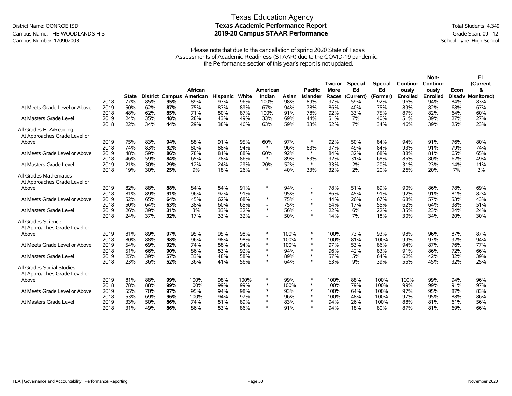# Campus Number: 170902003 School Type: High School

#### Texas Education Agency District Name: CONROE ISD **Texas Academic Performance Report** Total Students: 4,349 Campus Name: THE WOODLANDS H S **2019-20 Campus STAAR Performance** Grade Span: 09 - 12

| Continu-<br><b>Special</b><br><b>Special</b><br>Continu-<br>Two or<br>Pacific<br>African<br>American<br><b>More</b><br>Ed<br>Ed<br>&<br>ously<br>ously<br>Econ<br><b>Hispanic</b><br><b>State</b><br><b>District</b><br><b>Campus American</b><br>White<br>Indian<br>Races<br>(Former)<br><b>Enrolled</b><br><b>Disadv</b><br>Asian<br><b>Islander</b><br><b>Enrolled</b><br>(Current)<br>85%<br>98%<br>2018<br>77%<br>95%<br>89%<br>93%<br>96%<br>100%<br>89%<br>97%<br>59%<br>92%<br>96%<br>94%<br>84%<br>83%<br>67%<br>At Meets Grade Level or Above<br>2019<br>50%<br>62%<br>87%<br>75%<br>83%<br>89%<br>67%<br>94%<br>78%<br>86%<br>40%<br>75%<br>89%<br>82%<br>68%<br>62%<br>2018<br>48%<br>85%<br>71%<br>80%<br>87%<br>100%<br>91%<br>78%<br>92%<br>33%<br>75%<br>87%<br>82%<br>64%<br>60%<br>24%<br>69%<br>2019<br>35%<br>48%<br>28%<br>43%<br>49%<br>33%<br>44%<br>51%<br>7%<br>40%<br>51%<br>39%<br>27%<br>27%<br>At Masters Grade Level<br>2018<br>22%<br>34%<br>44%<br>29%<br>38%<br>46%<br>63%<br>59%<br>33%<br>52%<br>7%<br>34%<br>46%<br>39%<br>25%<br>23%<br>All Grades ELA/Reading<br>At Approaches Grade Level or<br>83%<br>88%<br>91%<br>60%<br>97%<br>92%<br>75%<br>94%<br>95%<br>$\ast$<br>50%<br>84%<br>91%<br>76%<br>80%<br>2019<br>94%<br>Above |      |     |     |     |     |     |     |     |     |     |     |     |     |     | Non- |     | <b>EL</b>  |
|-------------------------------------------------------------------------------------------------------------------------------------------------------------------------------------------------------------------------------------------------------------------------------------------------------------------------------------------------------------------------------------------------------------------------------------------------------------------------------------------------------------------------------------------------------------------------------------------------------------------------------------------------------------------------------------------------------------------------------------------------------------------------------------------------------------------------------------------------------------------------------------------------------------------------------------------------------------------------------------------------------------------------------------------------------------------------------------------------------------------------------------------------------------------------------------------------------------------------------------------------------------------------|------|-----|-----|-----|-----|-----|-----|-----|-----|-----|-----|-----|-----|-----|------|-----|------------|
|                                                                                                                                                                                                                                                                                                                                                                                                                                                                                                                                                                                                                                                                                                                                                                                                                                                                                                                                                                                                                                                                                                                                                                                                                                                                         |      |     |     |     |     |     |     |     |     |     |     |     |     |     |      |     | (Current   |
|                                                                                                                                                                                                                                                                                                                                                                                                                                                                                                                                                                                                                                                                                                                                                                                                                                                                                                                                                                                                                                                                                                                                                                                                                                                                         |      |     |     |     |     |     |     |     |     |     |     |     |     |     |      |     |            |
|                                                                                                                                                                                                                                                                                                                                                                                                                                                                                                                                                                                                                                                                                                                                                                                                                                                                                                                                                                                                                                                                                                                                                                                                                                                                         |      |     |     |     |     |     |     |     |     |     |     |     |     |     |      |     | Monitored) |
|                                                                                                                                                                                                                                                                                                                                                                                                                                                                                                                                                                                                                                                                                                                                                                                                                                                                                                                                                                                                                                                                                                                                                                                                                                                                         |      |     |     |     |     |     |     |     |     |     |     |     |     |     |      |     |            |
|                                                                                                                                                                                                                                                                                                                                                                                                                                                                                                                                                                                                                                                                                                                                                                                                                                                                                                                                                                                                                                                                                                                                                                                                                                                                         |      |     |     |     |     |     |     |     |     |     |     |     |     |     |      |     |            |
|                                                                                                                                                                                                                                                                                                                                                                                                                                                                                                                                                                                                                                                                                                                                                                                                                                                                                                                                                                                                                                                                                                                                                                                                                                                                         |      |     |     |     |     |     |     |     |     |     |     |     |     |     |      |     |            |
|                                                                                                                                                                                                                                                                                                                                                                                                                                                                                                                                                                                                                                                                                                                                                                                                                                                                                                                                                                                                                                                                                                                                                                                                                                                                         |      |     |     |     |     |     |     |     |     |     |     |     |     |     |      |     |            |
|                                                                                                                                                                                                                                                                                                                                                                                                                                                                                                                                                                                                                                                                                                                                                                                                                                                                                                                                                                                                                                                                                                                                                                                                                                                                         |      |     |     |     |     |     |     |     |     |     |     |     |     |     |      |     |            |
|                                                                                                                                                                                                                                                                                                                                                                                                                                                                                                                                                                                                                                                                                                                                                                                                                                                                                                                                                                                                                                                                                                                                                                                                                                                                         |      |     |     |     |     |     |     |     |     |     |     |     |     |     |      |     |            |
|                                                                                                                                                                                                                                                                                                                                                                                                                                                                                                                                                                                                                                                                                                                                                                                                                                                                                                                                                                                                                                                                                                                                                                                                                                                                         |      |     |     |     |     |     |     |     |     |     |     |     |     |     |      |     |            |
|                                                                                                                                                                                                                                                                                                                                                                                                                                                                                                                                                                                                                                                                                                                                                                                                                                                                                                                                                                                                                                                                                                                                                                                                                                                                         |      |     |     |     |     |     |     |     |     |     |     |     |     |     |      |     |            |
|                                                                                                                                                                                                                                                                                                                                                                                                                                                                                                                                                                                                                                                                                                                                                                                                                                                                                                                                                                                                                                                                                                                                                                                                                                                                         | 2018 | 74% | 83% | 92% | 80% | 88% | 94% | $*$ | 96% | 83% | 97% | 49% | 84% | 93% | 91%  | 79% | 74%        |
| 48%<br>59%<br>78%<br>2019<br>86%<br>81%<br>88%<br>60%<br>92%<br>$\ast$<br>84%<br>32%<br>68%<br>88%<br>65%<br>65%<br>At Meets Grade Level or Above<br>81%                                                                                                                                                                                                                                                                                                                                                                                                                                                                                                                                                                                                                                                                                                                                                                                                                                                                                                                                                                                                                                                                                                                |      |     |     |     |     |     |     |     |     |     |     |     |     |     |      |     |            |
| 2018<br>46%<br>59%<br>84%<br>65%<br>78%<br>86%<br>89%<br>83%<br>92%<br>68%<br>80%<br>62%<br>$\ast$<br>31%<br>85%<br>49%                                                                                                                                                                                                                                                                                                                                                                                                                                                                                                                                                                                                                                                                                                                                                                                                                                                                                                                                                                                                                                                                                                                                                 |      |     |     |     |     |     |     |     |     |     |     |     |     |     |      |     |            |
| 2019<br>21%<br>29%<br>12%<br>29%<br>52%<br>$\ast$<br>33%<br>At Masters Grade Level<br>30%<br>24%<br>20%<br>2%<br>20%<br>31%<br>23%<br>14%<br>11%                                                                                                                                                                                                                                                                                                                                                                                                                                                                                                                                                                                                                                                                                                                                                                                                                                                                                                                                                                                                                                                                                                                        |      |     |     |     |     |     |     |     |     |     |     |     |     |     |      |     |            |
| 19%<br>30%<br>25%<br>9%<br>18%<br>26%<br>33%<br>3%<br>2018<br>40%<br>32%<br>2%<br>20%<br>26%<br>20%<br>7%                                                                                                                                                                                                                                                                                                                                                                                                                                                                                                                                                                                                                                                                                                                                                                                                                                                                                                                                                                                                                                                                                                                                                               |      |     |     |     |     |     |     |     |     |     |     |     |     |     |      |     |            |
| All Grades Mathematics                                                                                                                                                                                                                                                                                                                                                                                                                                                                                                                                                                                                                                                                                                                                                                                                                                                                                                                                                                                                                                                                                                                                                                                                                                                  |      |     |     |     |     |     |     |     |     |     |     |     |     |     |      |     |            |
| At Approaches Grade Level or                                                                                                                                                                                                                                                                                                                                                                                                                                                                                                                                                                                                                                                                                                                                                                                                                                                                                                                                                                                                                                                                                                                                                                                                                                            |      |     |     |     |     |     |     |     |     |     |     |     |     |     |      |     |            |
| 88%<br>2019<br>82%<br>84%<br>84%<br>91%<br>$\ast$<br>78%<br>89%<br>86%<br>78%<br>69%<br>88%<br>94%<br>51%<br>90%<br>Above                                                                                                                                                                                                                                                                                                                                                                                                                                                                                                                                                                                                                                                                                                                                                                                                                                                                                                                                                                                                                                                                                                                                               |      |     |     |     |     |     |     |     |     |     |     |     |     |     |      |     |            |
| 89%<br>96%<br>92%<br>91%<br>95%<br>$\ast$<br>2018<br>81%<br>91%<br>86%<br>45%<br>91%<br>92%<br>91%<br>81%<br>82%<br>$\sim$                                                                                                                                                                                                                                                                                                                                                                                                                                                                                                                                                                                                                                                                                                                                                                                                                                                                                                                                                                                                                                                                                                                                              |      |     |     |     |     |     |     |     |     |     |     |     |     |     |      |     |            |
| 65%<br>45%<br>62%<br>68%<br>$\ast$<br>At Meets Grade Level or Above<br>2019<br>52%<br>64%<br>75%<br>26%<br>67%<br>68%<br>57%<br>53%<br>43%<br>44%<br>$\overline{\phantom{a}}$                                                                                                                                                                                                                                                                                                                                                                                                                                                                                                                                                                                                                                                                                                                                                                                                                                                                                                                                                                                                                                                                                           |      |     |     |     |     |     |     |     |     |     |     |     |     |     |      |     |            |
| 50%<br>63%<br>38%<br>65%<br>$\ast$<br>2018<br>64%<br>60%<br>75%<br>64%<br>17%<br>55%<br>62%<br>64%<br>38%<br>51%                                                                                                                                                                                                                                                                                                                                                                                                                                                                                                                                                                                                                                                                                                                                                                                                                                                                                                                                                                                                                                                                                                                                                        |      |     |     |     |     |     |     |     |     |     |     |     |     |     |      |     |            |
| 26%<br>3%<br>32%<br>$\ast$<br>2019<br>39%<br>31%<br>33%<br>56%<br>22%<br>6%<br>22%<br>35%<br>23%<br>24%<br>24%<br>At Masters Grade Level                                                                                                                                                                                                                                                                                                                                                                                                                                                                                                                                                                                                                                                                                                                                                                                                                                                                                                                                                                                                                                                                                                                                |      |     |     |     |     |     |     |     |     |     |     |     |     |     |      |     |            |
| $\ast$<br>24%<br>37%<br>32%<br>17%<br>33%<br>32%<br>50%<br>18%<br>30%<br>34%<br>30%<br>2018<br>14%<br>7%<br>20%                                                                                                                                                                                                                                                                                                                                                                                                                                                                                                                                                                                                                                                                                                                                                                                                                                                                                                                                                                                                                                                                                                                                                         |      |     |     |     |     |     |     |     |     |     |     |     |     |     |      |     |            |
| All Grades Science                                                                                                                                                                                                                                                                                                                                                                                                                                                                                                                                                                                                                                                                                                                                                                                                                                                                                                                                                                                                                                                                                                                                                                                                                                                      |      |     |     |     |     |     |     |     |     |     |     |     |     |     |      |     |            |
| At Approaches Grade Level or                                                                                                                                                                                                                                                                                                                                                                                                                                                                                                                                                                                                                                                                                                                                                                                                                                                                                                                                                                                                                                                                                                                                                                                                                                            |      |     |     |     |     |     |     |     |     |     |     |     |     |     |      |     |            |
| 95%<br>81%<br>89%<br>97%<br>95%<br>98%<br>$\ast$<br>100%<br>$\ast$<br>100%<br>93%<br>98%<br>96%<br>87%<br>87%<br>2019<br>73%<br>Above                                                                                                                                                                                                                                                                                                                                                                                                                                                                                                                                                                                                                                                                                                                                                                                                                                                                                                                                                                                                                                                                                                                                   |      |     |     |     |     |     |     |     |     |     |     |     |     |     |      |     |            |
| 80%<br>88%<br>98%<br>96%<br>98%<br>98%<br>$\ast$<br>99%<br>97%<br>92%<br>94%<br>2018<br>100%<br>$\ast$<br>100%<br>81%<br>100%                                                                                                                                                                                                                                                                                                                                                                                                                                                                                                                                                                                                                                                                                                                                                                                                                                                                                                                                                                                                                                                                                                                                           |      |     |     |     |     |     |     |     |     |     |     |     |     |     |      |     |            |
| $\ast$<br>54%<br>69%<br>92%<br>74%<br>88%<br>94%<br>$\ast$<br>53%<br>86%<br>87%<br>76%<br>77%<br>At Meets Grade Level or Above<br>2019<br>100%<br>97%<br>94%                                                                                                                                                                                                                                                                                                                                                                                                                                                                                                                                                                                                                                                                                                                                                                                                                                                                                                                                                                                                                                                                                                            |      |     |     |     |     |     |     |     |     |     |     |     |     |     |      |     |            |
| $\ast$<br>$\ast$<br>2018<br>51%<br>66%<br>90%<br>86%<br>83%<br>92%<br>72%<br>94%<br>96%<br>42%<br>83%<br>91%<br>86%<br>66%                                                                                                                                                                                                                                                                                                                                                                                                                                                                                                                                                                                                                                                                                                                                                                                                                                                                                                                                                                                                                                                                                                                                              |      |     |     |     |     |     |     |     |     |     |     |     |     |     |      |     |            |
| 57%<br>33%<br>48%<br>58%<br>2019<br>25%<br>39%<br>$\ast$<br>89%<br>$\ast$<br>57%<br>5%<br>64%<br>62%<br>42%<br>32%<br>39%<br>At Masters Grade Level                                                                                                                                                                                                                                                                                                                                                                                                                                                                                                                                                                                                                                                                                                                                                                                                                                                                                                                                                                                                                                                                                                                     |      |     |     |     |     |     |     |     |     |     |     |     |     |     |      |     |            |
| $\ast$<br>23%<br>36%<br>36%<br>41%<br>56%<br>$\ast$<br>63%<br>32%<br>2018<br>52%<br>64%<br>9%<br>39%<br>55%<br>45%<br>25%                                                                                                                                                                                                                                                                                                                                                                                                                                                                                                                                                                                                                                                                                                                                                                                                                                                                                                                                                                                                                                                                                                                                               |      |     |     |     |     |     |     |     |     |     |     |     |     |     |      |     |            |
| All Grades Social Studies                                                                                                                                                                                                                                                                                                                                                                                                                                                                                                                                                                                                                                                                                                                                                                                                                                                                                                                                                                                                                                                                                                                                                                                                                                               |      |     |     |     |     |     |     |     |     |     |     |     |     |     |      |     |            |
| At Approaches Grade Level or                                                                                                                                                                                                                                                                                                                                                                                                                                                                                                                                                                                                                                                                                                                                                                                                                                                                                                                                                                                                                                                                                                                                                                                                                                            |      |     |     |     |     |     |     |     |     |     |     |     |     |     |      |     |            |
| 88%<br>100%<br>98%<br>2019<br>81%<br>99%<br>100%<br>99%<br>100%<br>88%<br>100%<br>100%<br>99%<br>94%<br>96%<br>$\ast$<br>$\ast$<br>Above                                                                                                                                                                                                                                                                                                                                                                                                                                                                                                                                                                                                                                                                                                                                                                                                                                                                                                                                                                                                                                                                                                                                |      |     |     |     |     |     |     |     |     |     |     |     |     |     |      |     |            |
| 97%<br>2018<br>78%<br>88%<br>99%<br>100%<br>99%<br>99%<br>$\ast$<br>100%<br>$\ast$<br>100%<br>79%<br>99%<br>99%<br>91%<br>100%                                                                                                                                                                                                                                                                                                                                                                                                                                                                                                                                                                                                                                                                                                                                                                                                                                                                                                                                                                                                                                                                                                                                          |      |     |     |     |     |     |     |     |     |     |     |     |     |     |      |     |            |
| 55%<br>70%<br>95%<br>At Meets Grade Level or Above<br>2019<br>97%<br>94%<br>98%<br>$\ast$<br>93%<br>$\ast$<br>100%<br>97%<br>95%<br>87%<br>83%<br>100%<br>64%                                                                                                                                                                                                                                                                                                                                                                                                                                                                                                                                                                                                                                                                                                                                                                                                                                                                                                                                                                                                                                                                                                           |      |     |     |     |     |     |     |     |     |     |     |     |     |     |      |     |            |
| 53%<br>100%<br>97%<br>$\ast$<br>2018<br>69%<br>96%<br>94%<br>$\ast$<br>96%<br>48%<br>100%<br>97%<br>95%<br>88%<br>86%<br>100%                                                                                                                                                                                                                                                                                                                                                                                                                                                                                                                                                                                                                                                                                                                                                                                                                                                                                                                                                                                                                                                                                                                                           |      |     |     |     |     |     |     |     |     |     |     |     |     |     |      |     |            |
| 33%<br>At Masters Grade Level<br>2019<br>50%<br>86%<br>74%<br>81%<br>89%<br>$\star$<br>$\ast$<br>26%<br>88%<br>81%<br>56%<br>83%<br>94%<br>100%<br>61%                                                                                                                                                                                                                                                                                                                                                                                                                                                                                                                                                                                                                                                                                                                                                                                                                                                                                                                                                                                                                                                                                                                  |      |     |     |     |     |     |     |     |     |     |     |     |     |     |      |     |            |
| 49%<br>86%<br>83%<br>$\star$<br>$\ast$<br>87%<br>2018<br>31%<br>86%<br>86%<br>91%<br>94%<br>18%<br>80%<br>81%<br>69%<br>66%                                                                                                                                                                                                                                                                                                                                                                                                                                                                                                                                                                                                                                                                                                                                                                                                                                                                                                                                                                                                                                                                                                                                             |      |     |     |     |     |     |     |     |     |     |     |     |     |     |      |     |            |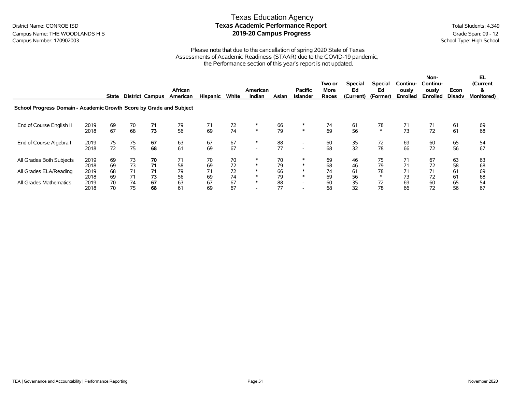# Texas Education Agency District Name: CONROE ISD **Texas Academic Performance Report** Total Students: 4,349

|                                                                     |              | <b>State</b> |          | District Campus | African<br>American | <b>Hispanic</b> | White    | American<br>Indian                 | Asian    | <b>Pacific</b><br><b>Islander</b>                    | Two or<br>More<br>Races | <b>Special</b><br>Ed<br>(Current) | <b>Special</b><br>Ed<br>(Former) | Continu-<br>ously<br><b>Enrolled</b> | Non-<br>Continu-<br>ously<br>Enrolled | Econ<br><b>Disadv</b> | EL<br>(Current<br>&<br><b>Monitored)</b> |
|---------------------------------------------------------------------|--------------|--------------|----------|-----------------|---------------------|-----------------|----------|------------------------------------|----------|------------------------------------------------------|-------------------------|-----------------------------------|----------------------------------|--------------------------------------|---------------------------------------|-----------------------|------------------------------------------|
| School Progress Domain - Academic Growth Score by Grade and Subject |              |              |          |                 |                     |                 |          |                                    |          |                                                      |                         |                                   |                                  |                                      |                                       |                       |                                          |
| End of Course English II                                            | 2019<br>2018 | 69<br>67     | 70<br>68 | 71<br>73        | 79<br>56            | 71<br>69        | 72<br>74 | $\ast$<br>$\ast$                   | 66<br>79 | ∗<br>$*$                                             | 74<br>69                | 61<br>56                          | 78<br>*                          | 71<br>73                             | 71<br>72                              | 61<br>61              | 69<br>68                                 |
| End of Course Algebra I                                             | 2019<br>2018 | 75<br>72     | 75<br>75 | 67<br>68        | 63<br>61            | 67<br>69        | 67<br>67 | $\ast$<br>$\overline{\phantom{a}}$ | 88<br>77 | $\overline{\phantom{0}}$<br>$\overline{\phantom{0}}$ | 60<br>68                | 35<br>32                          | 72<br>78                         | 69<br>66                             | 60<br>72                              | 65<br>56              | 54<br>67                                 |
| All Grades Both Subjects                                            | 2019<br>2018 | 69<br>69     | 73<br>73 | 70<br>71        | 71<br>58            | 70<br>69        | 70<br>72 | $\ast$<br>$\ast$                   | 70<br>79 | *<br>$\ast$                                          | 69<br>68                | 46<br>46                          | 75<br>79                         | 71<br>71                             | 67<br>72                              | 63<br>58              | 63<br>68                                 |
| All Grades ELA/Reading                                              | 2019<br>2018 | 68<br>69     | 71<br>71 | 71<br>73        | 79<br>56            | 71<br>69        | 72<br>74 | $\ast$<br>$\ast$                   | 66<br>79 | $\ast$<br>$\ast$                                     | 74<br>69                | 61<br>56                          | 78<br>$\ast$                     | 71<br>73                             | 71<br>72                              | 61<br>61              | 69<br>68                                 |
| All Grades Mathematics                                              | 2019<br>2018 | 70<br>70     | 74<br>75 | 67<br>68        | 63<br>61            | 67<br>69        | 67<br>67 | $\ast$<br>$\overline{\phantom{a}}$ | 88<br>77 | $\overline{\phantom{a}}$<br>$\overline{\phantom{0}}$ | 60<br>68                | 35<br>32                          | 72<br>78                         | 69<br>66                             | 60<br>72                              | 65<br>56              | 54<br>67                                 |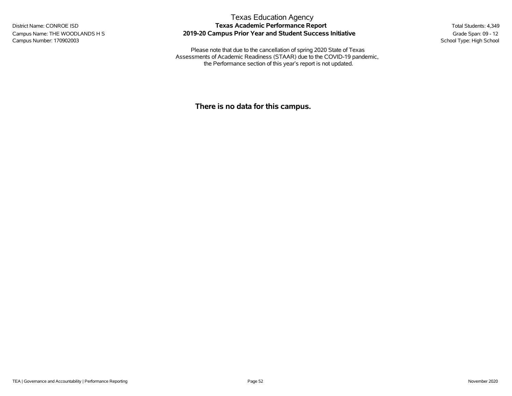Campus Number: 170902003 School Type: High School

#### Texas Education Agency District Name: CONROE ISD **Texas Academic Performance Report** Total Students: 4,349 Campus Name: THE WOODLANDS H S **2019-20 Campus Prior Year and Student Success Initiative** Grade Span: 09 - 12

Please note that due to the cancellation of spring 2020 State of Texas Assessments of Academic Readiness (STAAR) due to the COVID-19 pandemic, the Performance section of this year's report is not updated.

**There is no data for this campus.**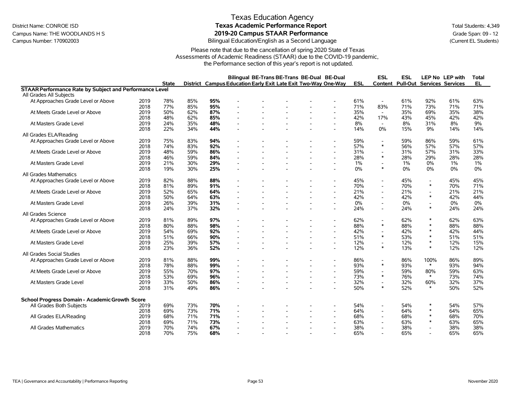#### Texas Education Agency

#### District Name: CONROE ISD **Texas Academic Performance Report** Total Students: 4,349 Campus Name: THE WOODLANDS H S **2019-20 Campus STAAR Performance** Grade Span: 09 - 12

Campus Number: 170902003 **Extinct Act and Society** Bilingual Education/English as a Second Language (Current EL Students)

|                                                                |      |              |     |            |                                                                | Bilingual BE-Trans BE-Trans BE-Dual BE-Dual |                          |                          |                |            | <b>ESL</b>               | <b>ESL</b>       |                          | LEP No LEP with | <b>Total</b> |
|----------------------------------------------------------------|------|--------------|-----|------------|----------------------------------------------------------------|---------------------------------------------|--------------------------|--------------------------|----------------|------------|--------------------------|------------------|--------------------------|-----------------|--------------|
|                                                                |      | <b>State</b> |     |            | District Campus Education Early Exit Late Exit Two-Way One-Way |                                             |                          |                          |                | <b>ESL</b> |                          | Content Pull-Out | <b>Services Services</b> |                 | EL.          |
| <b>STAAR Performance Rate by Subject and Performance Level</b> |      |              |     |            |                                                                |                                             |                          |                          |                |            |                          |                  |                          |                 |              |
| All Grades All Subjects                                        |      |              |     |            |                                                                |                                             |                          |                          |                |            |                          |                  |                          |                 |              |
| At Approaches Grade Level or Above                             | 2019 | 78%          | 85% | 95%        |                                                                |                                             |                          |                          |                | 61%        | $\sim$                   | 61%              | 92%                      | 61%             | 63%          |
|                                                                | 2018 | 77%          | 85% | 95%        |                                                                |                                             |                          |                          |                | 71%        | 83%                      | 71%              | 73%                      | 71%             | 71%          |
| At Meets Grade Level or Above                                  | 2019 | 50%          | 62% | 87%        |                                                                |                                             |                          |                          |                | 35%        | $\sim$                   | 35%              | 69%                      | 35%             | 38%          |
|                                                                | 2018 | 48%          | 62% | 85%        |                                                                |                                             |                          |                          |                | 42%        | 17%                      | 43%              | 45%                      | 42%             | 42%          |
| At Masters Grade Level                                         | 2019 | 24%          | 35% | 48%        |                                                                |                                             |                          |                          |                | 8%         | $\overline{\phantom{a}}$ | 8%               | 31%                      | 8%              | 9%           |
|                                                                | 2018 | 22%          | 34% | 44%        | $\overline{a}$                                                 | $\overline{\phantom{a}}$                    |                          | $\overline{\phantom{a}}$ |                | 14%        | 0%                       | 15%              | 9%                       | 14%             | 14%          |
| All Grades ELA/Reading                                         |      |              |     |            |                                                                |                                             |                          |                          |                |            |                          |                  |                          |                 |              |
| At Approaches Grade Level or Above                             | 2019 | 75%          | 83% | 94%        |                                                                |                                             |                          |                          |                | 59%        | L,                       | 59%              | 86%                      | 59%             | 61%          |
|                                                                | 2018 | 74%          | 83% | 92%        |                                                                |                                             |                          | $\overline{\phantom{a}}$ |                | 57%        | $\ast$                   | 56%              | 57%                      | 57%             | 57%          |
| At Meets Grade Level or Above                                  | 2019 | 48%          | 59% | 86%        |                                                                |                                             |                          |                          |                | 31%        |                          | 31%              | 57%                      | 31%             | 33%          |
|                                                                | 2018 | 46%          | 59% | 84%        |                                                                | $\overline{\phantom{a}}$                    | $\overline{\phantom{a}}$ | $\overline{a}$           |                | 28%        | $\ast$                   | 28%              | 29%                      | 28%             | 28%          |
| At Masters Grade Level                                         | 2019 | 21%          | 30% | 29%        |                                                                |                                             |                          |                          |                | $1\%$      |                          | 1%               | 0%                       | 1%              | 1%           |
|                                                                |      | 19%          | 30% | 25%        |                                                                |                                             |                          |                          |                | 0%         | $\ast$                   | 0%               | 0%                       | $0\%$           | 0%           |
| All Grades Mathematics                                         | 2018 |              |     |            |                                                                |                                             |                          |                          |                |            |                          |                  |                          |                 |              |
|                                                                |      |              |     |            |                                                                |                                             |                          |                          |                |            |                          |                  |                          |                 |              |
| At Approaches Grade Level or Above                             | 2019 | 82%          | 88% | 88%        |                                                                |                                             |                          |                          |                | 45%        | $\overline{a}$           | 45%              | $\blacksquare$<br>$\ast$ | 45%             | 45%          |
|                                                                | 2018 | 81%          | 89% | 91%        |                                                                |                                             |                          |                          |                | 70%        |                          | 70%              |                          | 70%             | 71%          |
| At Meets Grade Level or Above                                  | 2019 | 52%          | 65% | 64%        |                                                                | $\blacksquare$                              | $\blacksquare$           | $\blacksquare$           |                | 21%        |                          | 21%              | $\blacksquare$           | 21%             | 21%          |
|                                                                | 2018 | 50%          | 64% | 63%        |                                                                |                                             |                          |                          |                | 42%        |                          | 42%              | $\ast$                   | 42%             | 44%          |
| At Masters Grade Level                                         | 2019 | 26%          | 39% | 31%        |                                                                |                                             |                          |                          |                | 0%         |                          | 0%               |                          | $0\%$           | 0%           |
|                                                                | 2018 | 24%          | 37% | 32%        |                                                                |                                             |                          |                          |                | 24%        | $\overline{a}$           | 24%              | $\ast$                   | 24%             | 24%          |
| All Grades Science                                             |      |              |     |            |                                                                |                                             |                          |                          |                |            |                          |                  |                          |                 |              |
| At Approaches Grade Level or Above                             | 2019 | 81%          | 89% | 97%        |                                                                |                                             |                          |                          |                | 62%        | $\overline{a}$           | 62%              | $\ast$                   | 62%             | 63%          |
|                                                                | 2018 | 80%          | 88% | 98%        |                                                                |                                             |                          |                          |                | 88%        | $\ast$                   | 88%              | $\ast$                   | 88%             | 88%          |
| At Meets Grade Level or Above                                  | 2019 | 54%          | 69% | 92%        |                                                                |                                             |                          |                          |                | 42%        |                          | 42%              | $\ast$                   | 42%             | 44%          |
|                                                                | 2018 | 51%          | 66% | 90%        |                                                                |                                             | $\blacksquare$           | $\blacksquare$           |                | 51%        | $\ast$                   | 53%              | $\ast$                   | 51%             | 51%          |
| At Masters Grade Level                                         | 2019 | 25%          | 39% | 57%        |                                                                |                                             |                          |                          |                | 12%        | L,                       | 12%              | $\ast$                   | 12%             | 15%          |
|                                                                | 2018 | 23%          | 36% | 52%        | $\overline{a}$                                                 | ÷.                                          |                          | $\overline{a}$           | $\overline{a}$ | 12%        | $\ast$                   | 13%              | $\ast$                   | 12%             | 12%          |
| All Grades Social Studies                                      |      |              |     |            |                                                                |                                             |                          |                          |                |            |                          |                  |                          |                 |              |
| At Approaches Grade Level or Above                             | 2019 | 81%          | 88% | 99%        |                                                                |                                             |                          |                          |                | 86%        |                          | 86%              | 100%                     | 86%             | 89%          |
|                                                                | 2018 | 78%          | 88% | 99%        |                                                                | $\overline{a}$                              | $\sim$                   | $\overline{a}$           | $\sim$         | 93%        | $\ast$                   | 93%              | $\ast$                   | 93%             | 94%          |
| At Meets Grade Level or Above                                  | 2019 | 55%          | 70% | 97%        |                                                                |                                             |                          |                          |                | 59%        |                          | 59%              | 80%                      | 59%             | 63%          |
|                                                                | 2018 | 53%          | 69% | 96%        |                                                                |                                             |                          | $\overline{a}$           |                | 73%        | $\ast$                   | 76%              | $\ast$                   | 73%             | 74%          |
| At Masters Grade Level                                         | 2019 | 33%          | 50% | 86%        |                                                                |                                             |                          |                          |                | 32%        | $\overline{\phantom{0}}$ | 32%              | 60%                      | 32%             | 37%          |
|                                                                | 2018 | 31%          | 49% | 86%        |                                                                |                                             |                          |                          |                | 50%        | *                        | 52%              | $\ast$                   | 50%             | 52%          |
|                                                                |      |              |     |            |                                                                |                                             |                          |                          |                |            |                          |                  |                          |                 |              |
| School Progress Domain - Academic Growth Score                 |      |              |     |            |                                                                |                                             |                          |                          |                |            |                          |                  |                          |                 |              |
| All Grades Both Subjects                                       | 2019 | 69%          | 73% | 70%        |                                                                |                                             |                          |                          |                | 54%        |                          | 54%              | $\ast$                   | 54%             | 57%          |
|                                                                | 2018 | 69%          | 73% | 71%        |                                                                | $\blacksquare$                              | $\overline{\phantom{a}}$ | $\blacksquare$           |                | 64%        | L,                       | 64%              | $\ast$                   | 64%             | 65%          |
|                                                                |      |              |     |            |                                                                |                                             |                          |                          |                |            |                          |                  | $\ast$                   |                 |              |
| All Grades ELA/Reading                                         | 2019 | 68%          | 71% | 71%<br>73% |                                                                |                                             |                          |                          |                | 68%        |                          | 68%              | $\ast$                   | 68%             | 70%          |
|                                                                | 2018 | 69%          | 71% |            |                                                                |                                             |                          | $\blacksquare$           |                | 63%        |                          | 63%              |                          | 63%             | 65%          |
| All Grades Mathematics                                         | 2019 | 70%          | 74% | 67%        |                                                                |                                             |                          | $\overline{\phantom{a}}$ |                | 38%        |                          | 38%              |                          | 38%             | 38%          |
|                                                                | 2018 | 70%          | 75% | 68%        |                                                                |                                             |                          |                          |                | 65%        |                          | 65%              |                          | 65%             | 65%          |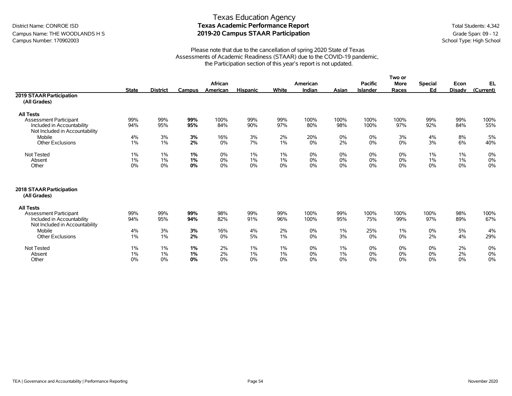# Campus Number: 170902003 School Type: High School

#### Texas Education Agency District Name: CONROE ISD **Texas Academic Performance Report** Total Students: 4,342 Campus Name: THE WOODLANDS H S **2019-20 Campus STAAR Participation** Grade Span: 09 - 12

|                                                              |              |                 |               |          |                 |       |          |       |                 | Two or      |                |               |           |
|--------------------------------------------------------------|--------------|-----------------|---------------|----------|-----------------|-------|----------|-------|-----------------|-------------|----------------|---------------|-----------|
|                                                              |              |                 |               | African  |                 |       | American |       | <b>Pacific</b>  | <b>More</b> | <b>Special</b> | Econ          | <b>EL</b> |
|                                                              | <b>State</b> | <b>District</b> | <b>Campus</b> | American | <b>Hispanic</b> | White | Indian   | Asian | <b>Islander</b> | Races       | Ed             | <b>Disadv</b> | (Current) |
| 2019 STAAR Participation                                     |              |                 |               |          |                 |       |          |       |                 |             |                |               |           |
| (All Grades)                                                 |              |                 |               |          |                 |       |          |       |                 |             |                |               |           |
| <b>All Tests</b>                                             |              |                 |               |          |                 |       |          |       |                 |             |                |               |           |
| <b>Assessment Participant</b>                                | 99%          | 99%             | 99%           | 100%     | 99%             | 99%   | 100%     | 100%  | 100%            | 100%        | 99%            | 99%           | 100%      |
| Included in Accountability<br>Not Included in Accountability | 94%          | 95%             | 95%           | 84%      | 90%             | 97%   | 80%      | 98%   | 100%            | 97%         | 92%            | 84%           | 55%       |
| Mobile                                                       | 4%           | 3%              | 3%            | 16%      | 3%              | 2%    | 20%      | 0%    | 0%              | 3%          | 4%             | 8%            | 5%        |
| <b>Other Exclusions</b>                                      | 1%           | 1%              | 2%            | $0\%$    | 7%              | 1%    | 0%       | 2%    | 0%              | 0%          | 3%             | 6%            | 40%       |
| <b>Not Tested</b>                                            | 1%           | 1%              | 1%            | 0%       | 1%              | 1%    | 0%       | 0%    | 0%              | 0%          | 1%             | 1%            | 0%        |
| Absent                                                       | 1%           | 1%              | 1%            | 0%       | 1%              | 1%    | 0%       | 0%    | 0%              | 0%          | 1%             | 1%            | 0%        |
| Other                                                        | 0%           | $0\%$           | 0%            | 0%       | 0%              | 0%    | 0%       | 0%    | 0%              | 0%          | 0%             | 0%            | 0%        |
| 2018 STAAR Participation<br>(All Grades)                     |              |                 |               |          |                 |       |          |       |                 |             |                |               |           |
| <b>All Tests</b>                                             |              |                 |               |          |                 |       |          |       |                 |             |                |               |           |
| Assessment Participant                                       | 99%          | 99%             | 99%           | 98%      | 99%             | 99%   | 100%     | 99%   | 100%            | 100%        | 100%           | 98%           | 100%      |
| Included in Accountability<br>Not Included in Accountability | 94%          | 95%             | 94%           | 82%      | 91%             | 96%   | 100%     | 95%   | 75%             | 99%         | 97%            | 89%           | 67%       |
| Mobile                                                       | 4%           | 3%              | 3%            | 16%      | 4%              | 2%    | 0%       | 1%    | 25%             | 1%          | 0%             | 5%            | 4%        |
| <b>Other Exclusions</b>                                      | 1%           | 1%              | 2%            | 0%       | 5%              | $1\%$ | 0%       | 3%    | 0%              | 0%          | 2%             | 4%            | 29%       |
| <b>Not Tested</b>                                            | 1%           | 1%              | 1%            | 2%       | 1%              | $1\%$ | 0%       | $1\%$ | 0%              | 0%          | 0%             | 2%            | 0%        |
| Absent                                                       | 1%           | 1%              | 1%            | 2%       | 1%              | 1%    | 0%       | 1%    | 0%              | 0%          | 0%             | 2%            | $0\%$     |
| Other                                                        | 0%           | $0\%$           | 0%            | 0%       | 0%              | 0%    | 0%       | 0%    | 0%              | 0%          | 0%             | 0%            | 0%        |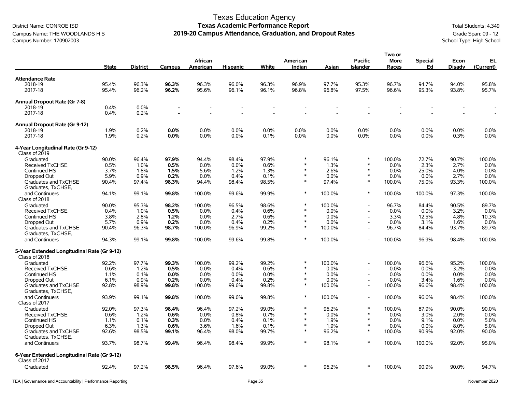#### Campus Name: THE WOODLANDS H S

Campus Name: THE WOODLANDS H S

Campus Number: 170902003

Campus Number: 170902003

Campus Number: 170902003

School Type: High School

Campus Number: 170902003

School Type: High School Campus Number: 170902003

#### Texas Education Agency District Name: CONROE ISD **Texas Academic Performance Report** Total Students: 4,349

**Two or**

|                                                              |              |                 |        |                            |                 |       |                    |        |                                   | וט טאו               |                      |                       |                 |
|--------------------------------------------------------------|--------------|-----------------|--------|----------------------------|-----------------|-------|--------------------|--------|-----------------------------------|----------------------|----------------------|-----------------------|-----------------|
|                                                              | <b>State</b> | <b>District</b> | Campus | <b>African</b><br>American | <b>Hispanic</b> | White | American<br>Indian | Asian  | <b>Pacific</b><br><b>Islander</b> | <b>More</b><br>Races | <b>Special</b><br>Ed | Econ<br><b>Disadv</b> | EL<br>(Current) |
| <b>Attendance Rate</b>                                       |              |                 |        |                            |                 |       |                    |        |                                   |                      |                      |                       |                 |
| 2018-19                                                      | 95.4%        | 96.3%           | 96.3%  | 96.3%                      | 96.0%           | 96.3% | 96.9%              | 97.7%  | 95.3%                             | 96.7%                | 94.7%                | 94.0%                 | 95.8%           |
| 2017-18                                                      | 95.4%        | 96.2%           | 96.2%  | 95.6%                      | 96.1%           | 96.1% | 96.8%              | 96.8%  | 97.5%                             | 96.6%                | 95.3%                | 93.8%                 | 95.7%           |
| <b>Annual Dropout Rate (Gr 7-8)</b>                          |              |                 |        |                            |                 |       |                    |        |                                   |                      |                      |                       |                 |
| 2018-19                                                      | 0.4%         | 0.0%            |        |                            |                 |       |                    |        |                                   |                      |                      |                       |                 |
| 2017-18                                                      | 0.4%         | 0.2%            |        |                            |                 |       |                    |        |                                   |                      |                      |                       |                 |
| Annual Dropout Rate (Gr 9-12)                                |              |                 |        |                            |                 |       |                    |        |                                   |                      |                      |                       |                 |
| 2018-19                                                      | 1.9%         | 0.2%            | 0.0%   | 0.0%                       | $0.0\%$         | 0.0%  | $0.0\%$            | 0.0%   | 0.0%                              | 0.0%                 | $0.0\%$              | 0.0%                  | 0.0%            |
| 2017-18                                                      | 1.9%         | 0.2%            | 0.0%   | 0.0%                       | 0.0%            | 0.1%  | 0.0%               | 0.0%   | 0.0%                              | 0.0%                 | 0.0%                 | 0.3%                  | 0.0%            |
| 4-Year Longitudinal Rate (Gr 9-12)<br>Class of 2019          |              |                 |        |                            |                 |       |                    |        |                                   |                      |                      |                       |                 |
| Graduated                                                    | 90.0%        | 96.4%           | 97.9%  | 94.4%                      | 98.4%           | 97.9% | $\ast$             | 96.1%  | $\ast$                            | 100.0%               | 72.7%                | 90.7%                 | 100.0%          |
| Received TxCHSE                                              | 0.5%         | 1.0%            | 0.5%   | 0.0%                       | 0.0%            | 0.6%  | $\ast$             | 1.3%   | $\ast$                            | 0.0%                 | 2.3%                 | 2.7%                  | 0.0%            |
| Continued HS                                                 | 3.7%         | 1.8%            | 1.5%   | 5.6%                       | 1.2%            | 1.3%  | $\ast$             | 2.6%   | $\ast$                            | 0.0%                 | 25.0%                | 4.0%                  | 0.0%            |
| Dropped Out                                                  | 5.9%         | 0.9%            | 0.2%   | 0.0%                       | 0.4%            | 0.1%  | $\ast$<br>$\ast$   | 0.0%   | $\ast$<br>$\ast$                  | 0.0%                 | 0.0%                 | 2.7%                  | 0.0%            |
| Graduates and TxCHSE<br>Graduates, TxCHSE,                   | 90.4%        | 97.4%           | 98.3%  | 94.4%                      | 98.4%           | 98.5% |                    | 97.4%  |                                   | 100.0%               | 75.0%                | 93.3%                 | 100.0%          |
| and Continuers<br>Class of 2018                              | 94.1%        | 99.1%           | 99.8%  | 100.0%                     | 99.6%           | 99.9% | $\ast$             | 100.0% | $\ast$                            | 100.0%               | 100.0%               | 97.3%                 | 100.0%          |
| Graduated                                                    | 90.0%        | 95.3%           | 98.2%  | 100.0%                     | 96.5%           | 98.6% | $\ast$             | 100.0% |                                   | 96.7%                | 84.4%                | 90.5%                 | 89.7%           |
| Received TxCHSE                                              | 0.4%         | 1.0%            | 0.5%   | 0.0%                       | 0.4%            | 0.6%  | $\ast$             | 0.0%   |                                   | 0.0%                 | 0.0%                 | 3.2%                  | 0.0%            |
| Continued HS                                                 | 3.8%         | 2.8%            | 1.2%   | 0.0%                       | 2.7%            | 0.6%  | $\ast$             | 0.0%   |                                   | 3.3%                 | 12.5%                | 4.8%                  | 10.3%           |
| Dropped Out                                                  | 5.7%         | 0.9%            | 0.2%   | 0.0%                       | 0.4%            | 0.2%  | $\ast$             | 0.0%   |                                   | 0.0%                 | 3.1%                 | 1.6%                  | 0.0%            |
| Graduates and TxCHSE<br>Graduates, TxCHSE,                   | 90.4%        | 96.3%           | 98.7%  | 100.0%                     | 96.9%           | 99.2% | $\ast$             | 100.0% |                                   | 96.7%                | 84.4%                | 93.7%                 | 89.7%           |
| and Continuers                                               | 94.3%        | 99.1%           | 99.8%  | 100.0%                     | 99.6%           | 99.8% | $\ast$             | 100.0% |                                   | 100.0%               | 96.9%                | 98.4%                 | 100.0%          |
| 5-Year Extended Longitudinal Rate (Gr 9-12)<br>Class of 2018 |              |                 |        |                            |                 |       |                    |        |                                   |                      |                      |                       |                 |
| Graduated                                                    | 92.2%        | 97.7%           | 99.3%  | 100.0%                     | 99.2%           | 99.2% | $\ast$             | 100.0% |                                   | 100.0%               | 96.6%                | 95.2%                 | 100.0%          |
| Received TxCHSE                                              | 0.6%         | 1.2%            | 0.5%   | 0.0%                       | 0.4%            | 0.6%  | $\ast$             | 0.0%   |                                   | 0.0%                 | 0.0%                 | 3.2%                  | 0.0%            |
| Continued HS                                                 | 1.1%         | 0.1%            | 0.0%   | 0.0%                       | 0.0%            | 0.0%  | $\ast$             | 0.0%   |                                   | 0.0%                 | 0.0%                 | 0.0%                  | 0.0%            |
| Dropped Out                                                  | 6.1%         | 0.9%            | 0.2%   | 0.0%                       | 0.4%            | 0.2%  | $\ast$             | 0.0%   |                                   | 0.0%                 | 3.4%                 | 1.6%                  | 0.0%            |
| Graduates and TxCHSE<br>Graduates, TxCHSE,                   | 92.8%        | 98.9%           | 99.8%  | 100.0%                     | 99.6%           | 99.8% | $\ast$             | 100.0% | $\sim$                            | 100.0%               | 96.6%                | 98.4%                 | 100.0%          |
| and Continuers<br>Class of 2017                              | 93.9%        | 99.1%           | 99.8%  | 100.0%                     | 99.6%           | 99.8% | $\ast$             | 100.0% |                                   | 100.0%               | 96.6%                | 98.4%                 | 100.0%          |
| Graduated                                                    | 92.0%        | 97.3%           | 98.4%  | 96.4%                      | 97.2%           | 99.0% | $\ast$             | 96.2%  | $\ast$                            | 100.0%               | 87.9%                | 90.0%                 | 90.0%           |
| <b>Received TxCHSE</b>                                       | 0.6%         | 1.2%            | 0.6%   | 0.0%                       | 0.8%            | 0.7%  | $\ast$             | 0.0%   | $\ast$                            | 0.0%                 | 3.0%                 | 2.0%                  | 0.0%            |
| Continued HS                                                 | 1.1%         | 0.1%            | 0.3%   | 0.0%                       | 0.4%            | 0.1%  | $\ast$             | 1.9%   | $\ast$                            | 0.0%                 | 9.1%                 | 0.0%                  | 5.0%            |
| Dropped Out                                                  | 6.3%         | 1.3%            | 0.6%   | 3.6%                       | 1.6%            | 0.1%  | $\ast$             | 1.9%   | $\ast$                            | 0.0%                 | $0.0\%$              | 8.0%                  | 5.0%            |
| Graduates and TxCHSE<br>Graduates, TxCHSE,                   | 92.6%        | 98.5%           | 99.1%  | 96.4%                      | 98.0%           | 99.7% | $\ast$             | 96.2%  | $\ast$                            | 100.0%               | 90.9%                | 92.0%                 | 90.0%           |
| and Continuers                                               | 93.7%        | 98.7%           | 99.4%  | 96.4%                      | 98.4%           | 99.9% | $\ast$             | 98.1%  | $\ast$                            | 100.0%               | 100.0%               | 92.0%                 | 95.0%           |
| 6-Year Extended Longitudinal Rate (Gr 9-12)<br>Class of 2017 |              |                 |        |                            |                 |       |                    |        |                                   |                      |                      |                       |                 |
| Graduated                                                    | 92.4%        | 97.2%           | 98.5%  | 96.4%                      | 97.6%           | 99.0% |                    | 96.2%  |                                   | 100.0%               | 90.9%                | 90.0%                 | 94.7%           |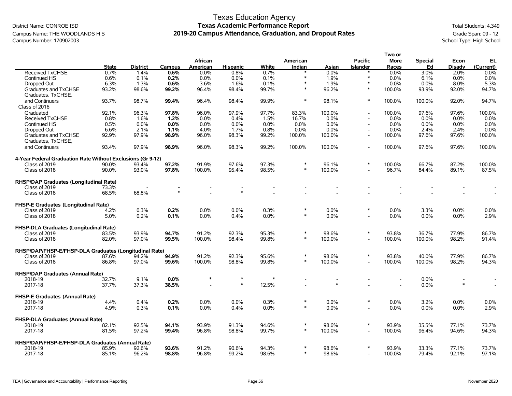#### Campus Name: THE WOODLANDS H S

Campus Name: THE WOODLANDS H S

Campus Number: 170902003

Campus Number: 170902003

Campus Number: 170902003

School Type: High School

Campus Number: 170902003

School Type: High School Campus Number: 170902003

|                                                             |              |                 |         |                |                 |       |          |        |                 | Two or      |                |               |           |
|-------------------------------------------------------------|--------------|-----------------|---------|----------------|-----------------|-------|----------|--------|-----------------|-------------|----------------|---------------|-----------|
|                                                             |              |                 |         | <b>African</b> |                 |       | American |        | <b>Pacific</b>  | <b>More</b> | <b>Special</b> | Econ          | EL        |
|                                                             | <b>State</b> | <b>District</b> | Campus  | American       | <b>Hispanic</b> | White | Indian   | Asian  | <b>Islander</b> | Races       | Ed             | <b>Disady</b> | (Current) |
| Received TxCHSE                                             | 0.7%         | 1.4%            | 0.6%    | 0.0%           | 0.8%            | 0.7%  |          | 0.0%   |                 | 0.0%        | 3.0%           | 2.0%          | 0.0%      |
| Continued HS                                                | 0.6%         | 0.1%            | 0.2%    | 0.0%           | 0.0%            | 0.1%  | $\ast$   | 1.9%   | $\ast$          | 0.0%        | 6.1%           | 0.0%          | 0.0%      |
| Dropped Out                                                 | 6.3%         | 1.3%            | 0.6%    | 3.6%           | 1.6%            | 0.1%  | $\ast$   | 1.9%   | $\ast$          | 0.0%        | 0.0%           | 8.0%          | 5.3%      |
| Graduates and TxCHSE                                        | 93.2%        | 98.6%           | 99.2%   | 96.4%          | 98.4%           | 99.7% | $\ast$   | 96.2%  | $\ast$          | 100.0%      | 93.9%          | 92.0%         | 94.7%     |
| Graduates, TxCHSE,                                          |              |                 |         |                |                 |       |          |        |                 |             |                |               |           |
| and Continuers                                              | 93.7%        | 98.7%           | 99.4%   | 96.4%          | 98.4%           | 99.9% | $\ast$   | 98.1%  | $\ast$          | 100.0%      | 100.0%         | 92.0%         | 94.7%     |
| Class of 2016                                               |              |                 |         |                |                 |       |          |        |                 |             |                |               |           |
| Graduated                                                   | 92.1%        | 96.3%           | 97.8%   | 96.0%          | 97.9%           | 97.7% | 83.3%    | 100.0% |                 | 100.0%      | 97.6%          | 97.6%         | 100.0%    |
| <b>Received TxCHSE</b>                                      | 0.8%         | 1.6%            | 1.2%    | 0.0%           | 0.4%            | 1.5%  | 16.7%    | 0.0%   |                 | 0.0%        | 0.0%           | 0.0%          | 0.0%      |
| Continued HS                                                | 0.5%         | 0.0%            | 0.0%    | 0.0%           | 0.0%            | 0.0%  | 0.0%     | 0.0%   |                 | 0.0%        | 0.0%           | 0.0%          | 0.0%      |
|                                                             | 6.6%         | 2.1%            | 1.1%    | 4.0%           | 1.7%            | 0.8%  | 0.0%     | 0.0%   |                 | 0.0%        | 2.4%           | 2.4%          | 0.0%      |
| Dropped Out                                                 | 92.9%        | 97.9%           | 98.9%   | 96.0%          |                 |       | 100.0%   | 100.0% |                 | 100.0%      | 97.6%          | 97.6%         | 100.0%    |
| Graduates and TxCHSE                                        |              |                 |         |                | 98.3%           | 99.2% |          |        |                 |             |                |               |           |
| Graduates, TxCHSE,                                          |              |                 |         |                |                 |       |          |        |                 |             |                |               |           |
| and Continuers                                              | 93.4%        | 97.9%           | 98.9%   | 96.0%          | 98.3%           | 99.2% | 100.0%   | 100.0% |                 | 100.0%      | 97.6%          | 97.6%         | 100.0%    |
| 4-Year Federal Graduation Rate Without Exclusions (Gr 9-12) |              |                 |         |                |                 |       |          |        |                 |             |                |               |           |
| Class of 2019                                               | 90.0%        | 93.4%           | 97.2%   | 91.9%          | 97.6%           | 97.3% | $\ast$   | 96.1%  | $\ast$          | 100.0%      | 66.7%          | 87.2%         | 100.0%    |
| Class of 2018                                               | 90.0%        | 93.0%           | 97.8%   | 100.0%         | 95.4%           | 98.5% | $\ast$   | 100.0% |                 | 96.7%       | 84.4%          | 89.1%         | 87.5%     |
|                                                             |              |                 |         |                |                 |       |          |        |                 |             |                |               |           |
| <b>RHSP/DAP Graduates (Longitudinal Rate)</b>               |              |                 |         |                |                 |       |          |        |                 |             |                |               |           |
| Class of 2019                                               | 73.3%        |                 |         |                |                 |       |          |        |                 |             |                |               |           |
| Class of 2018                                               | 68.5%        | 68.8%           | $\star$ |                | $\ast$          |       |          |        |                 |             |                |               |           |
|                                                             |              |                 |         |                |                 |       |          |        |                 |             |                |               |           |
| <b>FHSP-E Graduates (Longitudinal Rate)</b>                 |              |                 |         |                |                 |       | $\ast$   |        | $\ast$          |             |                |               |           |
| Class of 2019                                               | 4.2%         | 0.3%            | 0.2%    | $0.0\%$        | 0.0%            | 0.3%  | $\ast$   | 0.0%   |                 | 0.0%        | 3.3%           | 0.0%          | 0.0%      |
| Class of 2018                                               | 5.0%         | 0.2%            | 0.1%    | 0.0%           | 0.4%            | 0.0%  |          | 0.0%   |                 | 0.0%        | 0.0%           | 0.0%          | 2.9%      |
| <b>FHSP-DLA Graduates (Longitudinal Rate)</b>               |              |                 |         |                |                 |       |          |        |                 |             |                |               |           |
| Class of 2019                                               | 83.5%        | 93.9%           | 94.7%   | 91.2%          | 92.3%           | 95.3% | $\ast$   | 98.6%  | $\ast$          | 93.8%       | 36.7%          | 77.9%         | 86.7%     |
| Class of 2018                                               | 82.0%        | 97.0%           | 99.5%   | 100.0%         | 98.4%           | 99.8% | $\ast$   | 100.0% |                 | 100.0%      | 100.0%         | 98.2%         | 91.4%     |
|                                                             |              |                 |         |                |                 |       |          |        |                 |             |                |               |           |
| RHSP/DAP/FHSP-E/FHSP-DLA Graduates (Longitudinal Rate)      |              |                 |         |                |                 |       |          |        |                 |             |                |               |           |
| Class of 2019                                               | 87.6%        | 94.2%           | 94.9%   | 91.2%          | 92.3%           | 95.6% | $\ast$   | 98.6%  | $\ast$          | 93.8%       | 40.0%          | 77.9%         | 86.7%     |
| Class of 2018                                               | 86.8%        | 97.0%           | 99.6%   | 100.0%         | 98.8%           | 99.8% | $\ast$   | 100.0% |                 | 100.0%      | 100.0%         | 98.2%         | 94.3%     |
| <b>RHSP/DAP Graduates (Annual Rate)</b>                     |              |                 |         |                |                 |       |          |        |                 |             |                |               |           |
| 2018-19                                                     | 32.7%        | 9.1%            | 0.0%    | $\ast$         | $\ast$          |       |          |        |                 |             | 0.0%           |               |           |
| 2017-18                                                     | 37.7%        | 37.3%           | 38.5%   |                | $\ast$          | 12.5% |          | $\ast$ |                 |             | 0.0%           | $\ast$        |           |
|                                                             |              |                 |         |                |                 |       |          |        |                 |             |                |               |           |
| FHSP-E Graduates (Annual Rate)                              |              |                 |         |                |                 |       |          |        |                 |             |                |               |           |
| 2018-19                                                     | 4.4%         | 0.4%            | 0.2%    | $0.0\%$        | 0.0%            | 0.3%  | $\ast$   | 0.0%   | $\ast$          | 0.0%        | 3.2%           | $0.0\%$       | 0.0%      |
| 2017-18                                                     | 4.9%         | 0.3%            | 0.1%    | 0.0%           | 0.4%            | 0.0%  | $\ast$   | 0.0%   |                 | 0.0%        | 0.0%           | 0.0%          | 2.9%      |
| <b>FHSP-DLA Graduates (Annual Rate)</b>                     |              |                 |         |                |                 |       |          |        |                 |             |                |               |           |
| 2018-19                                                     | 82.1%        | 92.5%           | 94.1%   | 93.9%          | 91.3%           | 94.6% | $\ast$   | 98.6%  | $\ast$          | 93.9%       | 35.5%          | 77.1%         | 73.7%     |
| 2017-18                                                     | 81.5%        | 97.2%           | 99.4%   | 96.8%          | 98.8%           | 99.7% | $\ast$   | 100.0% |                 | 100.0%      | 96.4%          | 94.6%         | 94.3%     |
|                                                             |              |                 |         |                |                 |       |          |        |                 |             |                |               |           |
| RHSP/DAP/FHSP-E/FHSP-DLA Graduates (Annual Rate)            |              |                 |         |                |                 |       |          |        |                 |             |                |               |           |
| 2018-19                                                     | 85.9%        | 92.6%           | 93.6%   | 91.2%          | 90.6%           | 94.3% | $\ast$   | 98.6%  |                 | 93.9%       | 33.3%          | 77.1%         | 73.7%     |
| 2017-18                                                     | 85.1%        | 96.2%           | 98.8%   | 96.8%          | 99.2%           | 98.6% | $\ast$   | 98.6%  |                 | 100.0%      | 79.4%          | 92.1%         | 97.1%     |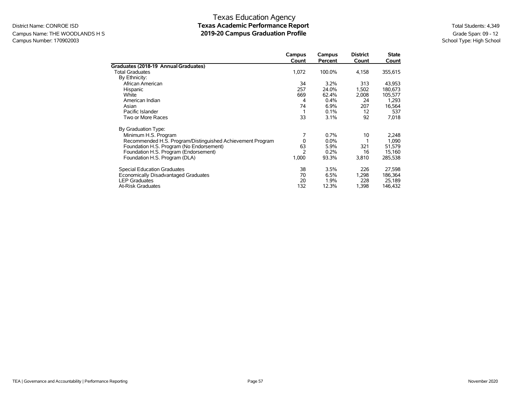|                                                            | Campus<br>Count | Campus<br>Percent | <b>District</b><br>Count | <b>State</b><br>Count |
|------------------------------------------------------------|-----------------|-------------------|--------------------------|-----------------------|
| Graduates (2018-19 Annual Graduates)                       |                 |                   |                          |                       |
| <b>Total Graduates</b>                                     | 1,072           | 100.0%            | 4,158                    | 355,615               |
| By Ethnicity:                                              |                 |                   |                          |                       |
| African American                                           | 34              | 3.2%              | 313                      | 43,953                |
| Hispanic                                                   | 257             | 24.0%             | 1,502                    | 180,673               |
| White                                                      | 669             | 62.4%             | 2,008                    | 105,577               |
| American Indian                                            | 4               | $0.4\%$           | 24                       | 1,293                 |
| Asian                                                      | 74              | $6.9\%$           | 207                      | 16,564                |
| Pacific Islander                                           |                 | 0.1%              | 12                       | 537                   |
| Two or More Races                                          | 33              | 3.1%              | 92                       | 7,018                 |
| By Graduation Type:                                        |                 |                   |                          |                       |
| Minimum H.S. Program                                       | 7               | 0.7%              | 10                       | 2,248                 |
| Recommended H.S. Program/Distinguished Achievement Program | 0               | $0.0\%$           |                          | 1,090                 |
| Foundation H.S. Program (No Endorsement)                   | 63              | 5.9%              | 321                      | 51,579                |
| Foundation H.S. Program (Endorsement)                      | 2               | $0.2\%$           | 16                       | 15,160                |
| Foundation H.S. Program (DLA)                              | 1,000           | 93.3%             | 3,810                    | 285,538               |
| Special Education Graduates                                | 38              | 3.5%              | 226                      | 27,598                |
| Economically Disadvantaged Graduates                       | 70              | 6.5%              | 1,298                    | 186,364               |
| <b>LEP Graduates</b>                                       | 20              | $1.9\%$           | 228                      | 25,189                |
| <b>At-Risk Graduates</b>                                   | 132             | 12.3%             | 1,398                    | 146,432               |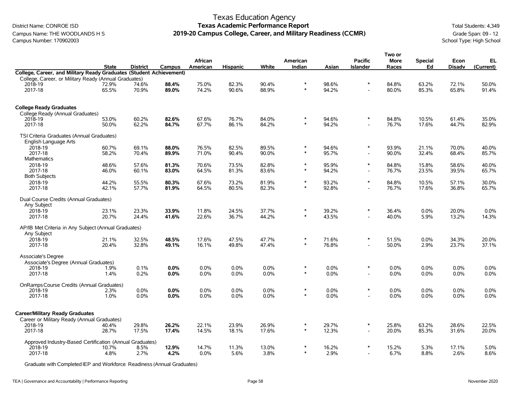#### Campus Name: THE WOODLANDS H S **2019-20 Campus College, Career, and Military Readiness (CCMR)** Grade Span: 09 - 12<br>Campus Number: 170902003<br>School Type: High School Campus Number: 170902003

## Texas Education Agency District Name: CONROE ISD **Texas Academic Performance Report** Total Students: 4,349

**Two or**

|                                                                     |                |                 |               |                            |                 |       |                           |                |                                   | i wu ur              |                      |                       |                 |
|---------------------------------------------------------------------|----------------|-----------------|---------------|----------------------------|-----------------|-------|---------------------------|----------------|-----------------------------------|----------------------|----------------------|-----------------------|-----------------|
|                                                                     | <b>State</b>   | <b>District</b> | <b>Campus</b> | <b>African</b><br>American | <b>Hispanic</b> | White | American<br><b>Indian</b> | Asian          | <b>Pacific</b><br><b>Islander</b> | <b>More</b><br>Races | <b>Special</b><br>Ed | Econ<br><b>Disadv</b> | EL<br>(Current) |
| College, Career, and Military Ready Graduates (Student Achievement) |                |                 |               |                            |                 |       |                           |                |                                   |                      |                      |                       |                 |
| College, Career, or Military Ready (Annual Graduates)               |                |                 |               |                            |                 |       |                           |                |                                   |                      |                      |                       |                 |
| 2018-19                                                             | 72.9%          | 74.6%           | 88.4%         | 75.0%                      | 82.3%           | 90.4% | $\ast$                    | 98.6%          | $\ast$                            | 84.8%                | 63.2%                | 72.1%                 | 50.0%           |
| 2017-18                                                             | 65.5%          | 70.9%           | 89.0%         | 74.2%                      | 90.6%           | 88.9% | $\ast$                    | 94.2%          |                                   | 80.0%                | 85.3%                | 65.8%                 | 91.4%           |
|                                                                     |                |                 |               |                            |                 |       |                           |                |                                   |                      |                      |                       |                 |
| <b>College Ready Graduates</b>                                      |                |                 |               |                            |                 |       |                           |                |                                   |                      |                      |                       |                 |
| College Ready (Annual Graduates)                                    |                |                 |               |                            |                 |       |                           |                |                                   |                      |                      |                       |                 |
| 2018-19                                                             | 53.0%          | 60.2%           | 82.6%         | 67.6%                      | 76.7%           | 84.0% | $\ast$                    | 94.6%          | $\ast$                            | 84.8%                | 10.5%                | 61.4%                 | 35.0%           |
| 2017-18                                                             | 50.0%          | 62.2%           | 84.7%         | 67.7%                      | 86.1%           | 84.2% | $\ast$                    | 94.2%          |                                   | 76.7%                | 17.6%                | 44.7%                 | 82.9%           |
| TSI Criteria Graduates (Annual Graduates)<br>English Language Arts  |                |                 |               |                            |                 |       |                           |                |                                   |                      |                      |                       |                 |
| 2018-19                                                             | 60.7%          | 69.1%           | 88.0%         | 76.5%                      | 82.5%           | 89.5% | $\ast$                    | 94.6%          | $\ast$                            | 93.9%                | 21.1%                | 70.0%                 | 40.0%           |
| 2017-18                                                             | 58.2%          | 70.4%           | 89.9%         | 71.0%                      | 90.4%           | 90.0% | $\ast$                    | 95.7%          |                                   | 90.0%                | 32.4%                | 68.4%                 | 85.7%           |
| Mathematics                                                         |                |                 |               |                            |                 |       |                           |                |                                   |                      |                      |                       |                 |
| 2018-19                                                             | 48.6%          | 57.6%           | 81.3%         | 70.6%                      | 73.5%           | 82.8% | $\ast$                    | 95.9%          | $\ast$                            | 84.8%                | 15.8%                | 58.6%                 | 40.0%           |
| 2017-18                                                             | 46.0%          | 60.1%           | 83.0%         | 64.5%                      | 81.3%           | 83.6% | $\ast$                    | 94.2%          | $\overline{\phantom{a}}$          | 76.7%                | 23.5%                | 39.5%                 | 65.7%           |
| <b>Both Subjects</b>                                                |                |                 |               |                            |                 |       |                           |                |                                   |                      |                      |                       |                 |
| 2018-19                                                             | 44.2%          | 55.5%           | 80.3%         | 67.6%                      | 73.2%           | 81.9% | $\ast$                    | 93.2%          | $\ast$                            | 84.8%                | 10.5%                | 57.1%                 | 30.0%           |
| 2017-18                                                             | 42.1%          | 57.7%           | 81.9%         | 64.5%                      | 80.5%           | 82.3% | $\ast$                    | 92.8%          |                                   | 76.7%                | 17.6%                | 36.8%                 | 65.7%           |
| Dual Course Credits (Annual Graduates)                              |                |                 |               |                            |                 |       |                           |                |                                   |                      |                      |                       |                 |
| Any Subject                                                         |                |                 |               |                            |                 |       |                           |                |                                   |                      |                      |                       |                 |
| 2018-19                                                             | 23.1%          | 23.3%           | 33.9%         | 11.8%                      | 24.5%           | 37.7% | $\ast$                    | 39.2%          | $\ast$                            | 36.4%                | $0.0\%$              | 20.0%                 | 0.0%            |
| 2017-18                                                             | 20.7%          | 24.4%           | 41.6%         | 22.6%                      | 36.7%           | 44.2% | $\ast$                    | 43.5%          |                                   | 40.0%                | 5.9%                 | 13.2%                 | 14.3%           |
| AP/IB Met Criteria in Any Subject (Annual Graduates)                |                |                 |               |                            |                 |       |                           |                |                                   |                      |                      |                       |                 |
| Any Subject                                                         |                |                 |               |                            |                 |       |                           |                |                                   |                      |                      |                       |                 |
| 2018-19                                                             | 21.1%          | 32.5%           | 48.5%         | 17.6%                      | 47.5%           | 47.7% | $\ast$                    | 71.6%          | $\ast$                            | 51.5%                | $0.0\%$              | 34.3%                 | 20.0%           |
| 2017-18                                                             | 20.4%          | 32.8%           | 49.1%         | 16.1%                      | 49.8%           | 47.4% | $\ast$                    | 76.8%          |                                   | 50.0%                | 2.9%                 | 23.7%                 | 37.1%           |
|                                                                     |                |                 |               |                            |                 |       |                           |                |                                   |                      |                      |                       |                 |
| Associate's Degree<br>Associate's Degree (Annual Graduates)         |                |                 |               |                            |                 |       |                           |                |                                   |                      |                      |                       |                 |
| 2018-19                                                             | 1.9%           | 0.1%            | 0.0%          | 0.0%                       | 0.0%            | 0.0%  | $\ast$                    | 0.0%           | $\ast$                            | 0.0%                 | $0.0\%$              | 0.0%                  | 0.0%            |
| 2017-18                                                             | 1.4%           | 0.2%            | 0.0%          | 0.0%                       | 0.0%            | 0.0%  | $\ast$                    | 0.0%           |                                   | 0.0%                 | 0.0%                 | 0.0%                  | 0.0%            |
|                                                                     |                |                 |               |                            |                 |       |                           |                |                                   |                      |                      |                       |                 |
| <b>OnRamps Course Credits (Annual Graduates)</b>                    |                |                 |               |                            |                 |       |                           |                |                                   |                      |                      |                       |                 |
| 2018-19                                                             | 2.3%           | 0.0%            | 0.0%          | 0.0%                       | 0.0%            | 0.0%  | $\ast$                    | 0.0%           | $\ast$                            | 0.0%                 | $0.0\%$              | 0.0%                  | 0.0%            |
| 2017-18                                                             | 1.0%           | 0.0%            | 0.0%          | 0.0%                       | 0.0%            | 0.0%  | $\ast$                    | 0.0%           |                                   | 0.0%                 | 0.0%                 | 0.0%                  | 0.0%            |
|                                                                     |                |                 |               |                            |                 |       |                           |                |                                   |                      |                      |                       |                 |
| <b>Career/Military Ready Graduates</b>                              |                |                 |               |                            |                 |       |                           |                |                                   |                      |                      |                       |                 |
| Career or Military Ready (Annual Graduates)                         |                |                 |               |                            |                 |       | $\ast$                    |                | $\ast$                            |                      |                      |                       |                 |
| 2018-19                                                             | 40.4%<br>28.7% | 29.8%<br>17.5%  | 26.2%         | 22.1%                      | 23.9%           | 26.9% | $\ast$                    | 29.7%<br>12.3% |                                   | 25.8%<br>20.0%       | 63.2%                | 28.6%                 | 22.5%<br>20.0%  |
| 2017-18                                                             |                |                 | 17.4%         | 14.5%                      | 18.1%           | 17.6% |                           |                |                                   |                      | 85.3%                | 31.6%                 |                 |
| Approved Industry-Based Certification (Annual Graduates)            |                |                 |               |                            |                 |       |                           |                |                                   |                      |                      |                       |                 |
| 2018-19                                                             | 10.7%          | 8.5%            | 12.9%         | 14.7%                      | 11.3%           | 13.0% | $\ast$                    | 16.2%          | $\ast$                            | 15.2%                | 5.3%                 | 17.1%                 | 5.0%            |
| 2017-18                                                             | 4.8%           | 2.7%            | 4.2%          | $0.0\%$                    | 5.6%            | 3.8%  | $\ast$                    | 2.9%           |                                   | 6.7%                 | 8.8%                 | 2.6%                  | 8.6%            |
|                                                                     |                |                 |               |                            |                 |       |                           |                |                                   |                      |                      |                       |                 |

Graduate with Completed IEP and Workforce Readiness (Annual Graduates)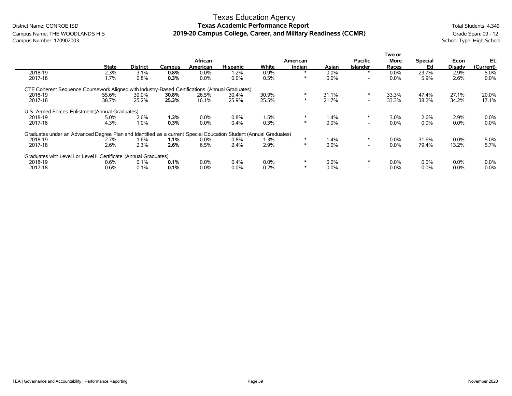#### Campus Name: THE WOODLANDS H S

Campus Name: THE WOODLANDS H S

Campus Number: 170902003

Campus Number: 170902003

Campus Number: 170902003

Campus Number: 170902003

Campus Number: 170902003

School Type: High School Campus Number: 170902003

|                                                                                                                  |              |                 |        |                     |                 |         |                    |         |                                   | Two or        |               |                       |                 |
|------------------------------------------------------------------------------------------------------------------|--------------|-----------------|--------|---------------------|-----------------|---------|--------------------|---------|-----------------------------------|---------------|---------------|-----------------------|-----------------|
|                                                                                                                  | <b>State</b> | <b>District</b> | Campus | African<br>American | <b>Hispanic</b> | White   | American<br>Indian | Asian   | <b>Pacific</b><br><b>Islander</b> | More<br>Races | Special<br>Ed | Econ<br><b>Disady</b> | EL<br>(Current) |
| 2018-19                                                                                                          | 2.3%         | 3.1%            | 0.8%   | $0.0\%$             | $1.2\%$         | 0.9%    | - sk               | $0.0\%$ |                                   | $0.0\%$       | 23.7%         | 2.9%                  | 5.0%            |
| 2017-18                                                                                                          | 1.7%         | 0.8%            | 0.3%   | $0.0\%$             | $0.0\%$         | 0.5%    | $\ast$             | $0.0\%$ | $\overline{\phantom{a}}$          | $0.0\%$       | 5.9%          | 2.6%                  | 0.0%            |
| CTE Coherent Sequence Coursework Aligned with Industry-Based Certifications (Annual Graduates)                   |              |                 |        |                     |                 |         |                    |         |                                   |               |               |                       |                 |
| 2018-19                                                                                                          | 55.6%        | 39.0%           | 30.8%  | 26.5%               | 30.4%           | 30.9%   | $\ast$             | 31.1%   | *                                 | 33.3%         | 47.4%         | 27.1%                 | 20.0%           |
| 2017-18                                                                                                          | 38.7%        | 25.2%           | 25.3%  | 16.1%               | 25.9%           | 25.5%   | $\ast$             | 21.7%   | $\overline{\phantom{a}}$          | 33.3%         | 38.2%         | 34.2%                 | 17.1%           |
| U.S. Armed Forces Enlistment (Annual Graduates)                                                                  |              |                 |        |                     |                 |         |                    |         |                                   |               |               |                       |                 |
| 2018-19                                                                                                          | $5.0\%$      | 2.6%            | 1.3%   | $0.0\%$             | 0.8%            | 1.5%    | $\ast$             | 1.4%    | $\ast$                            | 3.0%          | 2.6%          | 2.9%                  | 0.0%            |
| 2017-18                                                                                                          | 4.3%         | 1.0%            | 0.3%   | $0.0\%$             | $0.4\%$         | 0.3%    | $\ast$             | $0.0\%$ | $\overline{\phantom{a}}$          | 0.0%          | 0.0%          | $0.0\%$               | 0.0%            |
| Graduates under an Advanced Degree Plan and Identified as a current Special Education Student (Annual Graduates) |              |                 |        |                     |                 |         |                    |         |                                   |               |               |                       |                 |
| 2018-19                                                                                                          | 2.7%         | 1.6%            | 1.1%   | $0.0\%$             | 0.8%            | 1.3%    | $\ast$             | 1.4%    | *                                 | $0.0\%$       | 31.6%         | $0.0\%$               | 5.0%            |
| 2017-18                                                                                                          | 2.6%         | 2.3%            | 2.6%   | 6.5%                | 2.4%            | 2.9%    | *                  | $0.0\%$ | $\overline{\phantom{0}}$          | $0.0\%$       | 79.4%         | 13.2%                 | 5.7%            |
| Graduates with Level I or Level II Certificate (Annual Graduates)                                                |              |                 |        |                     |                 |         |                    |         |                                   |               |               |                       |                 |
| 2018-19                                                                                                          | 0.6%         | $0.1\%$         | 0.1%   | $0.0\%$             | $0.4\%$         | $0.0\%$ | $\ast$             | $0.0\%$ | *                                 | $0.0\%$       | $0.0\%$       | $0.0\%$               | 0.0%            |
| 2017-18                                                                                                          | 0.6%         | $0.1\%$         | 0.1%   | $0.0\%$             | 0.0%            | 0.2%    | *                  | $0.0\%$ |                                   | $0.0\%$       | 0.0%          | $0.0\%$               | 0.0%            |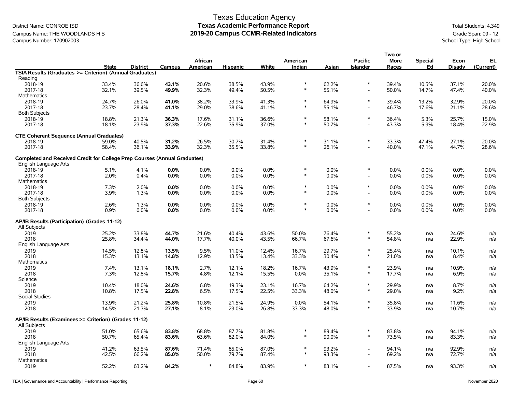|                                                                                  |              |                 |         |          |                 |       |                  |         |                          | Two or      |                |               |           |
|----------------------------------------------------------------------------------|--------------|-----------------|---------|----------|-----------------|-------|------------------|---------|--------------------------|-------------|----------------|---------------|-----------|
|                                                                                  |              |                 |         | African  |                 |       | American         |         | <b>Pacific</b>           | <b>More</b> | <b>Special</b> | Econ          | EL        |
|                                                                                  | <b>State</b> | <b>District</b> | Campus  | American | <b>Hispanic</b> | White | Indian           | Asian   | <b>Islander</b>          | Races       | Ed             | <b>Disadv</b> | (Current) |
| TSIA Results (Graduates >= Criterion) (Annual Graduates)                         |              |                 |         |          |                 |       |                  |         |                          |             |                |               |           |
| Reading                                                                          |              |                 |         |          |                 |       |                  |         |                          |             |                |               |           |
| 2018-19                                                                          | 33.4%        | 36.6%           | 43.1%   | 20.6%    | 38.5%           | 43.9% | $\ast$           | 62.2%   | $\ast$                   | 39.4%       | 10.5%          | 37.1%         | 20.0%     |
| 2017-18                                                                          | 32.1%        | 39.5%           | 49.9%   | 32.3%    | 49.4%           | 50.5% | $\ast$           | 55.1%   | $\overline{\phantom{a}}$ | 50.0%       | 14.7%          | 47.4%         | 40.0%     |
| Mathematics                                                                      |              |                 |         |          |                 |       |                  |         |                          |             |                |               |           |
| 2018-19                                                                          | 24.7%        | 26.0%           | 41.0%   | 38.2%    | 33.9%           | 41.3% | $\ast$           | 64.9%   | $\ast$                   | 39.4%       | 13.2%          | 32.9%         | 20.0%     |
| 2017-18                                                                          | 23.7%        | 28.4%           | 41.1%   | 29.0%    | 38.6%           | 41.1% | $\ast$           | 55.1%   | $\overline{\phantom{a}}$ | 46.7%       | 17.6%          | 21.1%         | 28.6%     |
| <b>Both Subjects</b>                                                             |              |                 |         |          |                 |       |                  |         |                          |             |                |               |           |
| 2018-19                                                                          | 18.8%        | 21.3%           | 36.3%   | 17.6%    | 31.1%           | 36.6% | $\ast$           | 58.1%   | $\ast$                   | 36.4%       | 5.3%           | 25.7%         | 15.0%     |
| 2017-18                                                                          | 18.1%        | 23.9%           | 37.3%   | 22.6%    | 35.9%           | 37.0% | $\ast$           | 50.7%   | $\overline{\phantom{a}}$ | 43.3%       | 5.9%           | 18.4%         | 22.9%     |
| <b>CTE Coherent Sequence (Annual Graduates)</b>                                  |              |                 |         |          |                 |       |                  |         |                          |             |                |               |           |
| 2018-19                                                                          | 59.0%        | 40.5%           | 31.2%   | 26.5%    | 30.7%           | 31.4% | $\ast$           | 31.1%   | $\ast$                   | 33.3%       | 47.4%          | 27.1%         | 20.0%     |
| 2017-18                                                                          | 58.4%        | 36.1%           | 33.9%   | 32.3%    | 35.5%           | 33.8% | $\ast$           | 26.1%   |                          | 40.0%       | 47.1%          | 44.7%         | 28.6%     |
| <b>Completed and Received Credit for College Prep Courses (Annual Graduates)</b> |              |                 |         |          |                 |       |                  |         |                          |             |                |               |           |
| English Language Arts                                                            |              |                 |         |          |                 |       |                  |         |                          |             |                |               |           |
| 2018-19                                                                          | 5.1%         | 4.1%            | $0.0\%$ | 0.0%     | 0.0%            | 0.0%  | $\ast$           | 0.0%    | $\ast$                   | 0.0%        | $0.0\%$        | 0.0%          | 0.0%      |
| 2017-18                                                                          | 2.0%         | 0.4%            | $0.0\%$ | 0.0%     | $0.0\%$         | 0.0%  | $\ast$           | 0.0%    |                          | 0.0%        | $0.0\%$        | 0.0%          | 0.0%      |
| Mathematics                                                                      |              |                 |         |          |                 |       |                  |         |                          |             |                |               |           |
| 2018-19                                                                          | 7.3%         | 2.0%            | $0.0\%$ | 0.0%     | 0.0%            | 0.0%  | $\ast$           | 0.0%    | $\ast$                   | 0.0%        | $0.0\%$        | 0.0%          | 0.0%      |
| 2017-18                                                                          | 3.9%         | 1.3%            | $0.0\%$ | 0.0%     | 0.0%            | 0.0%  | $\ast$           | 0.0%    | $\overline{\phantom{a}}$ | 0.0%        | $0.0\%$        | 0.0%          | 0.0%      |
| <b>Both Subjects</b>                                                             |              |                 |         |          |                 |       |                  |         |                          |             |                |               |           |
| 2018-19                                                                          | 2.6%         | 1.3%            | 0.0%    | 0.0%     | $0.0\%$         | 0.0%  | $\pmb{\ast}$     | $0.0\%$ | $\ast$                   | 0.0%        | 0.0%           | $0.0\%$       | 0.0%      |
| 2017-18                                                                          | 0.9%         | 0.0%            | 0.0%    | 0.0%     | 0.0%            | 0.0%  | $\ast$           | 0.0%    | $\blacksquare$           | 0.0%        | $0.0\%$        | 0.0%          | 0.0%      |
| AP/IB Results (Participation) (Grades 11-12)                                     |              |                 |         |          |                 |       |                  |         |                          |             |                |               |           |
| All Subjects                                                                     |              |                 |         |          |                 |       |                  |         |                          |             |                |               |           |
| 2019                                                                             | 25.2%        | 33.8%           | 44.7%   | 21.6%    | 40.4%           | 43.6% | 50.0%            | 76.4%   | $\ast$                   | 55.2%       | n/a            | 24.6%         | n/a       |
| 2018                                                                             | 25.8%        | 34.4%           | 44.0%   | 17.7%    | 40.0%           | 43.5% | 66.7%            | 67.6%   | $\ast$                   | 54.8%       | n/a            | 22.9%         | n/a       |
| English Language Arts                                                            |              |                 |         |          |                 |       |                  |         |                          |             |                |               |           |
| 2019                                                                             | 14.5%        | 12.8%           | 13.5%   | 9.5%     | 11.0%           | 12.4% | 16.7%            | 29.7%   | $\ast$                   | 25.4%       | n/a            | 10.1%         | n/a       |
| 2018                                                                             | 15.3%        | 13.1%           | 14.8%   | 12.9%    | 13.5%           | 13.4% | 33.3%            | 30.4%   | $\ast$                   | 21.0%       | n/a            | 8.4%          | n/a       |
| Mathematics                                                                      |              |                 |         |          |                 |       |                  |         |                          |             |                |               |           |
| 2019                                                                             | 7.4%         | 13.1%           | 18.1%   | 2.7%     | 12.1%           | 18.2% | 16.7%            | 43.9%   | $\ast$                   | 23.9%       | n/a            | 10.9%         | n/a       |
| 2018                                                                             | 7.3%         | 12.8%           | 15.7%   | 4.8%     | 12.1%           | 15.5% | $0.0\%$          | 35.1%   | $\ast$                   | 17.7%       | n/a            | 6.9%          | n/a       |
| Science                                                                          |              |                 |         |          |                 |       |                  |         |                          |             |                |               |           |
| 2019                                                                             | 10.4%        | 18.0%           | 24.6%   | 6.8%     | 19.3%           | 23.1% | 16.7%            | 64.2%   | $\ast$                   | 29.9%       | n/a            | 8.7%          | n/a       |
| 2018                                                                             | 10.8%        | 17.5%           | 22.8%   | 6.5%     | 17.5%           | 22.5% | 33.3%            | 48.0%   | $\ast$                   | 29.0%       | n/a            | 9.2%          | n/a       |
| <b>Social Studies</b>                                                            |              |                 |         |          |                 |       |                  |         |                          |             |                |               |           |
| 2019                                                                             | 13.9%        | 21.2%           | 25.8%   | 10.8%    | 21.5%           | 24.9% | $0.0\%$          | 54.1%   | $\ast$<br>$\ast$         | 35.8%       | n/a            | 11.6%         | n/a       |
| 2018                                                                             | 14.5%        | 21.3%           | 27.1%   | 8.1%     | 23.0%           | 26.8% | 33.3%            | 48.0%   |                          | 33.9%       | n/a            | 10.7%         | n/a       |
| AP/IB Results (Examinees >= Criterion) (Grades 11-12)                            |              |                 |         |          |                 |       |                  |         |                          |             |                |               |           |
| All Subjects                                                                     |              |                 |         |          |                 |       |                  |         |                          |             |                |               |           |
| 2019                                                                             | 51.0%        | 65.6%           | 83.8%   | 68.8%    | 87.7%           | 81.8% | $\ast$           | 89.4%   | $\ast$                   | 83.8%       | n/a            | 94.1%         | n/a       |
| 2018                                                                             | 50.7%        | 65.4%           | 83.6%   | 63.6%    | 82.0%           | 84.0% | $\ast$           | 90.0%   | $\ast$                   | 73.5%       | n/a            | 83.3%         | n/a       |
| English Language Arts                                                            |              |                 |         |          |                 |       |                  |         |                          |             |                |               |           |
| 2019                                                                             | 41.2%        | 63.5%           | 87.6%   | 71.4%    | 85.0%           | 87.0% | $\ast$<br>$\ast$ | 93.2%   |                          | 94.1%       | n/a            | 92.9%         | n/a       |
| 2018                                                                             | 42.5%        | 66.2%           | 85.0%   | 50.0%    | 79.7%           | 87.4% |                  | 93.3%   |                          | 69.2%       | n/a            | 72.7%         | n/a       |
| Mathematics                                                                      |              |                 |         | $\ast$   |                 |       | $\ast$           |         |                          |             |                |               |           |
| 2019                                                                             | 52.2%        | 63.2%           | 84.2%   |          | 84.8%           | 83.9% |                  | 83.1%   |                          | 87.5%       | n/a            | 93.3%         | n/a       |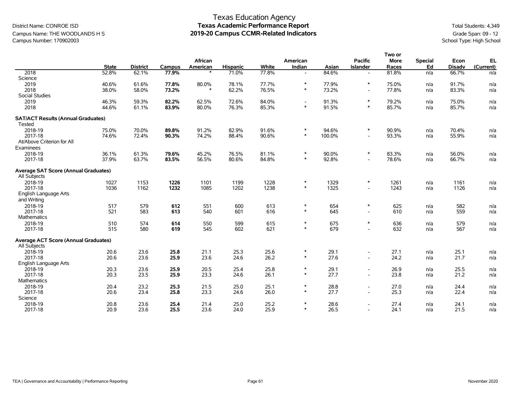|                                                             |              |                 |               | African  |                 |       | American       |        | <b>Pacific</b>           | Two or<br><b>More</b> | Special | Econ          | EL        |
|-------------------------------------------------------------|--------------|-----------------|---------------|----------|-----------------|-------|----------------|--------|--------------------------|-----------------------|---------|---------------|-----------|
|                                                             | <b>State</b> | <b>District</b> | <b>Campus</b> | American | <b>Hispanic</b> | White | Indian         | Asian  | <b>Islander</b>          | Races                 | Ed      | <b>Disadv</b> | (Current) |
| 2018                                                        | 52.8%        | 62.1%           | 77.9%         | $\ast$   | 71.0%           | 77.8% | $\overline{a}$ | 84.6%  | $\overline{\phantom{a}}$ | 81.8%                 | n/a     | 66.7%         | n/a       |
| Science                                                     |              |                 |               |          |                 |       |                |        |                          |                       |         |               |           |
| 2019                                                        | 40.6%        | 61.6%           | 77.8%         | 80.0%    | 78.1%           | 77.7% | $\ast$         | 77.9%  | $\ast$                   | 75.0%                 | n/a     | 91.7%         | n/a       |
| 2018                                                        | 38.0%        | 58.0%           | 73.2%         | $\ast$   | 62.2%           | 76.5% | $\ast$         | 73.2%  | $\overline{\phantom{a}}$ | 77.8%                 | n/a     | 83.3%         | n/a       |
| Social Studies                                              |              |                 |               |          |                 |       |                |        |                          |                       |         |               |           |
| 2019                                                        | 46.3%        | 59.3%           | 82.2%         | 62.5%    | 72.6%           | 84.0% | $\blacksquare$ | 91.3%  | $\ast$                   | 79.2%                 | n/a     | 75.0%         | n/a       |
| 2018                                                        | 44.6%        | 61.1%           | 83.9%         | 80.0%    | 76.3%           | 85.3% | $\ast$         | 91.5%  | $\ast$                   | 85.7%                 | n/a     | 85.7%         | n/a       |
| <b>SAT/ACT Results (Annual Graduates)</b><br>Tested         |              |                 |               |          |                 |       |                |        |                          |                       |         |               |           |
| 2018-19                                                     | 75.0%        | 70.0%           | 89.8%         | 91.2%    | 82.9%           | 91.6% | $\ast$         | 94.6%  | $\ast$                   | 90.9%                 | n/a     | 70.4%         | n/a       |
| 2017-18                                                     | 74.6%        | 72.4%           | 90.3%         | 74.2%    | 88.4%           | 90.6% | $\ast$         | 100.0% | $\overline{a}$           | 93.3%                 | n/a     | 55.9%         | n/a       |
| At/Above Criterion for All                                  |              |                 |               |          |                 |       |                |        |                          |                       |         |               |           |
| Examinees                                                   |              |                 |               |          |                 |       |                |        |                          |                       |         |               |           |
| 2018-19                                                     | 36.1%        | 61.3%           | 79.6%         | 45.2%    | 76.5%           | 81.1% | $\ast$         | 90.0%  | $\ast$                   | 83.3%                 | n/a     | 56.0%         | n/a       |
| 2017-18                                                     | 37.9%        | 63.7%           | 83.5%         | 56.5%    | 80.6%           | 84.8% | $*$            | 92.8%  | $\overline{a}$           | 78.6%                 | n/a     | 66.7%         | n/a       |
| <b>Average SAT Score (Annual Graduates)</b><br>All Subjects |              |                 |               |          |                 |       |                |        |                          |                       |         |               |           |
| 2018-19                                                     | 1027         | 1153            | 1226          | 1101     | 1199            | 1228  | $\ast$         | 1329   | $\ast$                   | 1261                  | n/a     | 1161          | n/a       |
| 2017-18                                                     | 1036         | 1162            | 1232          | 1085     | 1202            | 1238  | $\ast$         | 1325   | $\overline{a}$           | 1243                  | n/a     | 1126          | n/a       |
| English Language Arts                                       |              |                 |               |          |                 |       |                |        |                          |                       |         |               |           |
| and Writing                                                 |              |                 |               |          |                 |       |                |        |                          |                       |         |               |           |
| 2018-19                                                     | 517          | 579             | 612           | 551      | 600             | 613   | $\ast$         | 654    | $\ast$                   | 625                   | n/a     | 582           | n/a       |
| 2017-18                                                     | 521          | 583             | 613           | 540      | 601             | 616   | $\ast$         | 645    | $\blacksquare$           | 610                   | n/a     | 559           | n/a       |
| Mathematics                                                 |              |                 |               |          |                 |       |                |        |                          |                       |         |               |           |
| 2018-19                                                     | 510          | 574             | 614           | 550      | 599             | 615   | $\ast$         | 675    | $\ast$                   | 636                   | n/a     | 579           | n/a       |
| 2017-18                                                     | 515          | 580             | 619           | 545      | 602             | 621   | $\ast$         | 679    | $\overline{a}$           | 632                   | n/a     | 567           | n/a       |
| <b>Average ACT Score (Annual Graduates)</b><br>All Subjects |              |                 |               |          |                 |       |                |        |                          |                       |         |               |           |
| 2018-19                                                     | 20.6         | 23.6            | 25.8          | 21.1     | 25.3            | 25.6  | $\ast$         | 29.1   | $\overline{\phantom{a}}$ | 27.1                  | n/a     | 25.1          | n/a       |
| 2017-18                                                     | 20.6         | 23.6            | 25.9          | 23.6     | 24.6            | 26.2  | $\ast$         | 27.6   | $\overline{a}$           | 24.2                  | n/a     | 21.7          | n/a       |
| English Language Arts                                       |              |                 |               |          |                 |       |                |        |                          |                       |         |               |           |
| 2018-19                                                     | 20.3         | 23.6            | 25.9          | 20.5     | 25.4            | 25.8  | $\ast$         | 29.1   | $\overline{\phantom{a}}$ | 26.9                  | n/a     | 25.5          | n/a       |
| 2017-18                                                     | 20.3         | 23.5            | 25.9          | 23.3     | 24.6            | 26.1  | $\ast$         | 27.7   | $\blacksquare$           | 23.8                  | n/a     | 21.2          | n/a       |
| <b>Mathematics</b>                                          |              |                 |               |          |                 |       |                |        |                          |                       |         |               |           |
| 2018-19                                                     | 20.4         | 23.2            | 25.3          | 21.5     | 25.0            | 25.1  | $\ast$         | 28.8   | $\overline{\phantom{a}}$ | 27.0                  | n/a     | 24.4          | n/a       |
| 2017-18                                                     | 20.6         | 23.4            | 25.8          | 23.3     | 24.6            | 26.0  | $\ast$         | 27.7   | $\overline{\phantom{a}}$ | 25.3                  | n/a     | 22.4          | n/a       |
| Science                                                     |              |                 |               |          |                 |       |                |        |                          |                       |         |               |           |
| 2018-19                                                     | 20.8         | 23.6            | 25.4          | 21.4     | 25.0            | 25.2  | $\ast$         | 28.6   |                          | 27.4                  | n/a     | 24.1          | n/a       |
| 2017-18                                                     | 20.9         | 23.6            | 25.5          | 23.6     | 24.0            | 25.9  | $\ast$         | 26.5   | $\overline{\phantom{a}}$ | 24.1                  | n/a     | 21.5          | n/a       |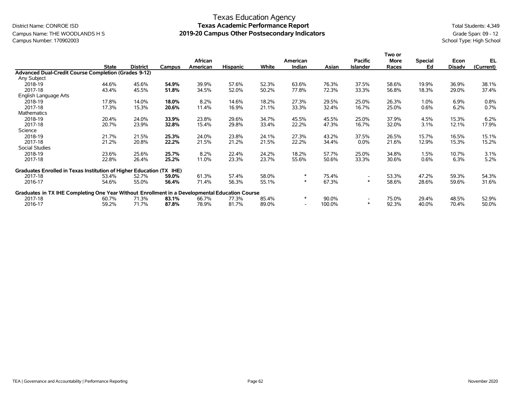|                                                                                                |              |                 |        |          |                 |          |                |                |                          | Two or         |       |        |           |
|------------------------------------------------------------------------------------------------|--------------|-----------------|--------|----------|-----------------|----------|----------------|----------------|--------------------------|----------------|-------|--------|-----------|
|                                                                                                |              |                 |        | African  |                 | American |                | <b>Pacific</b> | More                     | <b>Special</b> | Econ  | EL     |           |
|                                                                                                | <b>State</b> | <b>District</b> | Campus | American | <b>Hispanic</b> | White    | Indian         | Asian          | <b>Islander</b>          | Races          | Ed    | Disadv | (Current) |
| Advanced Dual-Credit Course Completion (Grades 9-12)                                           |              |                 |        |          |                 |          |                |                |                          |                |       |        |           |
| Any Subject                                                                                    |              |                 |        |          |                 |          |                |                |                          |                |       |        |           |
| 2018-19                                                                                        | 44.6%        | 45.6%           | 54.9%  | 39.9%    | 57.6%           | 52.3%    | 63.6%          | 76.3%          | 37.5%                    | 58.6%          | 19.9% | 36.9%  | 38.1%     |
| 2017-18                                                                                        | 43.4%        | 45.5%           | 51.8%  | 34.5%    | 52.0%           | 50.2%    | 77.8%          | 72.3%          | 33.3%                    | 56.8%          | 18.3% | 29.0%  | 37.4%     |
| English Language Arts                                                                          |              |                 |        |          |                 |          |                |                |                          |                |       |        |           |
| 2018-19                                                                                        | 17.8%        | 14.0%           | 18.0%  | 8.2%     | 14.6%           | 18.2%    | 27.3%          | 29.5%          | 25.0%                    | 26.3%          | 1.0%  | 6.9%   | 0.8%      |
| 2017-18                                                                                        | 17.3%        | 15.3%           | 20.6%  | 11.4%    | 16.9%           | 21.1%    | 33.3%          | 32.4%          | 16.7%                    | 25.0%          | 0.6%  | 6.2%   | 0.7%      |
| Mathematics                                                                                    |              |                 |        |          |                 |          |                |                |                          |                |       |        |           |
| 2018-19                                                                                        | 20.4%        | 24.0%           | 33.9%  | 23.8%    | 29.6%           | 34.7%    | 45.5%          | 45.5%          | 25.0%                    | 37.9%          | 4.5%  | 15.3%  | 6.2%      |
| 2017-18                                                                                        | 20.7%        | 23.9%           | 32.8%  | 15.4%    | 29.8%           | 33.4%    | 22.2%          | 47.3%          | 16.7%                    | 32.0%          | 3.1%  | 12.1%  | 17.9%     |
| Science                                                                                        |              |                 |        |          |                 |          |                |                |                          |                |       |        |           |
| 2018-19                                                                                        | 21.7%        | 21.5%           | 25.3%  | 24.0%    | 23.8%           | 24.1%    | 27.3%          | 43.2%          | 37.5%                    | 26.5%          | 15.7% | 16.5%  | 15.1%     |
| 2017-18                                                                                        | 21.2%        | 20.8%           | 22.2%  | 21.5%    | 21.2%           | 21.5%    | 22.2%          | 34.4%          | $0.0\%$                  | 21.6%          | 12.9% | 15.3%  | 15.2%     |
| Social Studies                                                                                 |              |                 |        |          |                 |          |                |                |                          |                |       |        |           |
| 2018-19                                                                                        | 23.6%        | 25.6%           | 25.7%  | 8.2%     | 22.4%           | 24.2%    | 18.2%          | 57.7%          | 25.0%                    | 34.8%          | 1.5%  | 10.7%  | 3.1%      |
| 2017-18                                                                                        | 22.8%        | 26.4%           | 25.2%  | 11.0%    | 23.3%           | 23.7%    | 55.6%          | 50.6%          | 33.3%                    | 30.6%          | 0.6%  | 6.3%   | 5.2%      |
| Graduates Enrolled in Texas Institution of Higher Education (TX IHE)                           |              |                 |        |          |                 |          |                |                |                          |                |       |        |           |
| 2017-18                                                                                        | 53.4%        | 52.7%           | 59.0%  | 61.3%    | 57.4%           | 58.0%    | $\ast$         | 75.4%          | $\overline{\phantom{a}}$ | 53.3%          | 47.2% | 59.3%  | 54.3%     |
| 2016-17                                                                                        | 54.6%        | 55.0%           | 56.4%  | 71.4%    | 56.3%           | 55.1%    | $\ast$         | 67.3%          | $\ast$                   | 58.6%          | 28.6% | 59.6%  | 31.6%     |
| Graduates in TX IHE Completing One Year Without Enrollment in a Developmental Education Course |              |                 |        |          |                 |          |                |                |                          |                |       |        |           |
| 2017-18                                                                                        | 60.7%        | 71.3%           | 83.1%  | 66.7%    | 77.3%           | 85.4%    | $\ast$         | 90.0%          |                          | 75.0%          | 29.4% | 48.5%  | 52.9%     |
| 2016-17                                                                                        | 59.2%        | 71.7%           | 87.8%  | 78.9%    | 81.7%           | 89.0%    | $\overline{a}$ | 100.0%         | $\ast$                   | 92.3%          | 40.0% | 70.4%  | 50.0%     |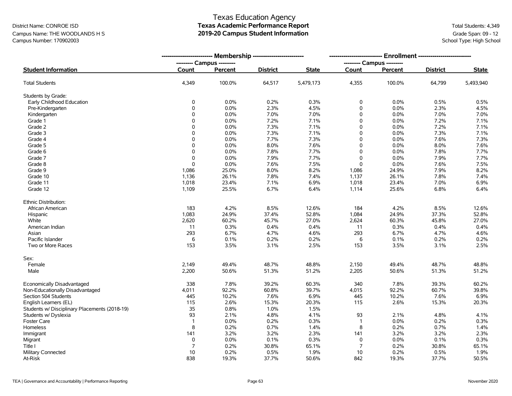#### Campus Name: THE WOODLANDS H S<br>Crade Span: 09 - 12<br>School Type: High School Campus Number: 170902003

# Texas Education Agency District Name: CONROE ISD **Texas Academic Performance Report Texas Academic Performance Report** Total Students: 4,349

| --------- Campus ---------<br>--------- Campus ---------<br>Count<br>Percent<br><b>Student Information</b><br>Count<br>Percent<br><b>District</b><br><b>State</b><br><b>District</b><br><b>State</b><br>4,349<br>100.0%<br><b>Total Students</b><br>100.0%<br>64,517<br>5,479,173<br>4,355<br>64,799<br>5,493,940<br>Students by Grade:<br>0<br>0.0%<br>0.2%<br>0.3%<br>0<br>0.0%<br>0.5%<br>0.5%<br>Early Childhood Education<br>0<br>0.0%<br>2.3%<br>0<br>0.0%<br>4.5%<br>2.3%<br>4.5%<br>Pre-Kindergarten<br>7.0%<br>0.0%<br>0<br>0.0%<br>7.0%<br>0<br>7.0%<br>7.0%<br>Kindergarten<br>0<br>0.0%<br>7.2%<br>0<br>0.0%<br>7.1%<br>7.1%<br>7.2%<br>Grade 1<br>0<br>0.0%<br>7.3%<br>7.1%<br>0<br>0.0%<br>7.2%<br>7.1%<br>Grade 2<br>0<br>0.0%<br>7.3%<br>0<br>0.0%<br>7.1%<br>Grade 3<br>7.1%<br>7.3%<br>0<br>0.0%<br>7.7%<br>7.3%<br>0<br>0.0%<br>7.6%<br>7.3%<br>Grade 4<br>0<br>8.0%<br>0<br>7.6%<br>Grade 5<br>0.0%<br>7.6%<br>0.0%<br>8.0%<br>0<br>0<br>0.0%<br>7.8%<br>7.7%<br>0.0%<br>7.7%<br>Grade 6<br>7.8%<br>0<br>0.0%<br>7.9%<br>7.7%<br>0<br>0.0%<br>7.9%<br>7.7%<br>Grade 7<br>0<br>0.0%<br>7.6%<br>7.5%<br>0<br>0.0%<br>7.5%<br>Grade 8<br>7.6%<br>25.0%<br>8.0%<br>8.2%<br>24.9%<br>7.9%<br>8.2%<br>Grade 9<br>1,086<br>1,086<br>7.4%<br>Grade 10<br>1,136<br>26.1%<br>7.8%<br>7.4%<br>1,137<br>26.1%<br>7.8%<br>23.4%<br>7.1%<br>6.9%<br>1,018<br>23.4%<br>6.9%<br>Grade 11<br>1,018<br>7.0%<br>25.5%<br>6.7%<br>6.4%<br>1,114<br>25.6%<br>6.8%<br>6.4%<br>Grade 12<br>1,109<br>Ethnic Distribution:<br>4.2%<br>8.5%<br>8.5%<br>183<br>12.6%<br>184<br>4.2%<br>12.6%<br>African American<br>24.9%<br>1,083<br>37.4%<br>52.8%<br>1,084<br>24.9%<br>37.3%<br>52.8%<br>Hispanic<br>60.2%<br>45.7%<br>2,624<br>60.3%<br>27.0%<br>White<br>2,620<br>27.0%<br>45.8%<br>0.3%<br>0.4%<br>0.3%<br>0.4%<br>American Indian<br>11<br>0.4%<br>11<br>0.4%<br>293<br>4.7%<br>Asian<br>6.7%<br>4.6%<br>293<br>6.7%<br>4.7%<br>4.6%<br>$\,6\,$<br>0.1%<br>0.2%<br>6<br>0.1%<br>0.2%<br>Pacific Islander<br>0.2%<br>0.2%<br>153<br>3.5%<br>3.1%<br>3.5%<br>2.5%<br>Two or More Races<br>2.5%<br>153<br>3.1%<br>Sex:<br>2,149<br>49.4%<br>48.7%<br>48.8%<br>2,150<br>49.4%<br>48.7%<br>48.8%<br>Female<br>2,200<br>50.6%<br>2,205<br>50.6%<br>51.2%<br>Male<br>51.3%<br>51.2%<br>51.3%<br>7.8%<br>Economically Disadvantaged<br>338<br>39.2%<br>60.3%<br>340<br>7.8%<br>39.3%<br>60.2%<br>92.2%<br>4,011<br>60.8%<br>39.7%<br>4,015<br>92.2%<br>60.7%<br>39.8%<br>Non-Educationally Disadvantaged<br>10.2%<br>7.6%<br>6.9%<br>445<br>Section 504 Students<br>445<br>10.2%<br>7.6%<br>6.9%<br>115<br>2.6%<br>15.3%<br>20.3%<br>2.6%<br>15.3%<br>115<br>20.3%<br>English Learners (EL)<br>35<br>0.8%<br>1.0%<br>Students w/ Disciplinary Placements (2018-19)<br>1.5%<br>93<br>2.1%<br>4.8%<br>93<br>2.1%<br>4.8%<br>4.1%<br>4.1%<br>Students w/ Dyslexia<br>0.2%<br>0.0%<br>0.3%<br>$\mathbf{1}$<br>0.0%<br>0.3%<br>$\overline{1}$<br>0.2%<br><b>Foster Care</b><br>8<br>0.2%<br>0.7%<br>8<br>0.2%<br>0.7%<br>1.4%<br><b>Homeless</b><br>1.4%<br>3.2%<br>141<br>3.2%<br>2.3%<br>141<br>3.2%<br>3.2%<br>2.3%<br>Immigrant<br>0.0%<br>0.1%<br>0<br>0.3%<br>0.0%<br>0.1%<br>0.3%<br>0<br>Migrant<br>$\overline{7}$<br>0.2%<br>$\overline{7}$<br>0.2%<br>65.1%<br>Title I<br>30.8%<br>65.1%<br>30.8%<br>0.2%<br>0.5%<br>0.5%<br>1.9%<br>10<br>1.9%<br>0.2%<br>Military Connected<br>10<br>838<br>19.3%<br>842<br>37.7%<br>50.6%<br>19.3%<br>37.7%<br>50.5%<br>At-Risk |  |  |  |  |  |  |  |
|-----------------------------------------------------------------------------------------------------------------------------------------------------------------------------------------------------------------------------------------------------------------------------------------------------------------------------------------------------------------------------------------------------------------------------------------------------------------------------------------------------------------------------------------------------------------------------------------------------------------------------------------------------------------------------------------------------------------------------------------------------------------------------------------------------------------------------------------------------------------------------------------------------------------------------------------------------------------------------------------------------------------------------------------------------------------------------------------------------------------------------------------------------------------------------------------------------------------------------------------------------------------------------------------------------------------------------------------------------------------------------------------------------------------------------------------------------------------------------------------------------------------------------------------------------------------------------------------------------------------------------------------------------------------------------------------------------------------------------------------------------------------------------------------------------------------------------------------------------------------------------------------------------------------------------------------------------------------------------------------------------------------------------------------------------------------------------------------------------------------------------------------------------------------------------------------------------------------------------------------------------------------------------------------------------------------------------------------------------------------------------------------------------------------------------------------------------------------------------------------------------------------------------------------------------------------------------------------------------------------------------------------------------------------------------------------------------------------------------------------------------------------------------------------------------------------------------------------------------------------------------------------------------------------------------------------------------------------------------------------------------------------------------------------------------------------------------------------------------------------------------------------------------------------------------------------------------------------------------------------------------------------------------------------------------------------------------------------------------------------------------------------------------------------------------------------------------------------|--|--|--|--|--|--|--|
|                                                                                                                                                                                                                                                                                                                                                                                                                                                                                                                                                                                                                                                                                                                                                                                                                                                                                                                                                                                                                                                                                                                                                                                                                                                                                                                                                                                                                                                                                                                                                                                                                                                                                                                                                                                                                                                                                                                                                                                                                                                                                                                                                                                                                                                                                                                                                                                                                                                                                                                                                                                                                                                                                                                                                                                                                                                                                                                                                                                                                                                                                                                                                                                                                                                                                                                                                                                                                                                                 |  |  |  |  |  |  |  |
|                                                                                                                                                                                                                                                                                                                                                                                                                                                                                                                                                                                                                                                                                                                                                                                                                                                                                                                                                                                                                                                                                                                                                                                                                                                                                                                                                                                                                                                                                                                                                                                                                                                                                                                                                                                                                                                                                                                                                                                                                                                                                                                                                                                                                                                                                                                                                                                                                                                                                                                                                                                                                                                                                                                                                                                                                                                                                                                                                                                                                                                                                                                                                                                                                                                                                                                                                                                                                                                                 |  |  |  |  |  |  |  |
|                                                                                                                                                                                                                                                                                                                                                                                                                                                                                                                                                                                                                                                                                                                                                                                                                                                                                                                                                                                                                                                                                                                                                                                                                                                                                                                                                                                                                                                                                                                                                                                                                                                                                                                                                                                                                                                                                                                                                                                                                                                                                                                                                                                                                                                                                                                                                                                                                                                                                                                                                                                                                                                                                                                                                                                                                                                                                                                                                                                                                                                                                                                                                                                                                                                                                                                                                                                                                                                                 |  |  |  |  |  |  |  |
|                                                                                                                                                                                                                                                                                                                                                                                                                                                                                                                                                                                                                                                                                                                                                                                                                                                                                                                                                                                                                                                                                                                                                                                                                                                                                                                                                                                                                                                                                                                                                                                                                                                                                                                                                                                                                                                                                                                                                                                                                                                                                                                                                                                                                                                                                                                                                                                                                                                                                                                                                                                                                                                                                                                                                                                                                                                                                                                                                                                                                                                                                                                                                                                                                                                                                                                                                                                                                                                                 |  |  |  |  |  |  |  |
|                                                                                                                                                                                                                                                                                                                                                                                                                                                                                                                                                                                                                                                                                                                                                                                                                                                                                                                                                                                                                                                                                                                                                                                                                                                                                                                                                                                                                                                                                                                                                                                                                                                                                                                                                                                                                                                                                                                                                                                                                                                                                                                                                                                                                                                                                                                                                                                                                                                                                                                                                                                                                                                                                                                                                                                                                                                                                                                                                                                                                                                                                                                                                                                                                                                                                                                                                                                                                                                                 |  |  |  |  |  |  |  |
|                                                                                                                                                                                                                                                                                                                                                                                                                                                                                                                                                                                                                                                                                                                                                                                                                                                                                                                                                                                                                                                                                                                                                                                                                                                                                                                                                                                                                                                                                                                                                                                                                                                                                                                                                                                                                                                                                                                                                                                                                                                                                                                                                                                                                                                                                                                                                                                                                                                                                                                                                                                                                                                                                                                                                                                                                                                                                                                                                                                                                                                                                                                                                                                                                                                                                                                                                                                                                                                                 |  |  |  |  |  |  |  |
|                                                                                                                                                                                                                                                                                                                                                                                                                                                                                                                                                                                                                                                                                                                                                                                                                                                                                                                                                                                                                                                                                                                                                                                                                                                                                                                                                                                                                                                                                                                                                                                                                                                                                                                                                                                                                                                                                                                                                                                                                                                                                                                                                                                                                                                                                                                                                                                                                                                                                                                                                                                                                                                                                                                                                                                                                                                                                                                                                                                                                                                                                                                                                                                                                                                                                                                                                                                                                                                                 |  |  |  |  |  |  |  |
|                                                                                                                                                                                                                                                                                                                                                                                                                                                                                                                                                                                                                                                                                                                                                                                                                                                                                                                                                                                                                                                                                                                                                                                                                                                                                                                                                                                                                                                                                                                                                                                                                                                                                                                                                                                                                                                                                                                                                                                                                                                                                                                                                                                                                                                                                                                                                                                                                                                                                                                                                                                                                                                                                                                                                                                                                                                                                                                                                                                                                                                                                                                                                                                                                                                                                                                                                                                                                                                                 |  |  |  |  |  |  |  |
|                                                                                                                                                                                                                                                                                                                                                                                                                                                                                                                                                                                                                                                                                                                                                                                                                                                                                                                                                                                                                                                                                                                                                                                                                                                                                                                                                                                                                                                                                                                                                                                                                                                                                                                                                                                                                                                                                                                                                                                                                                                                                                                                                                                                                                                                                                                                                                                                                                                                                                                                                                                                                                                                                                                                                                                                                                                                                                                                                                                                                                                                                                                                                                                                                                                                                                                                                                                                                                                                 |  |  |  |  |  |  |  |
|                                                                                                                                                                                                                                                                                                                                                                                                                                                                                                                                                                                                                                                                                                                                                                                                                                                                                                                                                                                                                                                                                                                                                                                                                                                                                                                                                                                                                                                                                                                                                                                                                                                                                                                                                                                                                                                                                                                                                                                                                                                                                                                                                                                                                                                                                                                                                                                                                                                                                                                                                                                                                                                                                                                                                                                                                                                                                                                                                                                                                                                                                                                                                                                                                                                                                                                                                                                                                                                                 |  |  |  |  |  |  |  |
|                                                                                                                                                                                                                                                                                                                                                                                                                                                                                                                                                                                                                                                                                                                                                                                                                                                                                                                                                                                                                                                                                                                                                                                                                                                                                                                                                                                                                                                                                                                                                                                                                                                                                                                                                                                                                                                                                                                                                                                                                                                                                                                                                                                                                                                                                                                                                                                                                                                                                                                                                                                                                                                                                                                                                                                                                                                                                                                                                                                                                                                                                                                                                                                                                                                                                                                                                                                                                                                                 |  |  |  |  |  |  |  |
|                                                                                                                                                                                                                                                                                                                                                                                                                                                                                                                                                                                                                                                                                                                                                                                                                                                                                                                                                                                                                                                                                                                                                                                                                                                                                                                                                                                                                                                                                                                                                                                                                                                                                                                                                                                                                                                                                                                                                                                                                                                                                                                                                                                                                                                                                                                                                                                                                                                                                                                                                                                                                                                                                                                                                                                                                                                                                                                                                                                                                                                                                                                                                                                                                                                                                                                                                                                                                                                                 |  |  |  |  |  |  |  |
|                                                                                                                                                                                                                                                                                                                                                                                                                                                                                                                                                                                                                                                                                                                                                                                                                                                                                                                                                                                                                                                                                                                                                                                                                                                                                                                                                                                                                                                                                                                                                                                                                                                                                                                                                                                                                                                                                                                                                                                                                                                                                                                                                                                                                                                                                                                                                                                                                                                                                                                                                                                                                                                                                                                                                                                                                                                                                                                                                                                                                                                                                                                                                                                                                                                                                                                                                                                                                                                                 |  |  |  |  |  |  |  |
|                                                                                                                                                                                                                                                                                                                                                                                                                                                                                                                                                                                                                                                                                                                                                                                                                                                                                                                                                                                                                                                                                                                                                                                                                                                                                                                                                                                                                                                                                                                                                                                                                                                                                                                                                                                                                                                                                                                                                                                                                                                                                                                                                                                                                                                                                                                                                                                                                                                                                                                                                                                                                                                                                                                                                                                                                                                                                                                                                                                                                                                                                                                                                                                                                                                                                                                                                                                                                                                                 |  |  |  |  |  |  |  |
|                                                                                                                                                                                                                                                                                                                                                                                                                                                                                                                                                                                                                                                                                                                                                                                                                                                                                                                                                                                                                                                                                                                                                                                                                                                                                                                                                                                                                                                                                                                                                                                                                                                                                                                                                                                                                                                                                                                                                                                                                                                                                                                                                                                                                                                                                                                                                                                                                                                                                                                                                                                                                                                                                                                                                                                                                                                                                                                                                                                                                                                                                                                                                                                                                                                                                                                                                                                                                                                                 |  |  |  |  |  |  |  |
|                                                                                                                                                                                                                                                                                                                                                                                                                                                                                                                                                                                                                                                                                                                                                                                                                                                                                                                                                                                                                                                                                                                                                                                                                                                                                                                                                                                                                                                                                                                                                                                                                                                                                                                                                                                                                                                                                                                                                                                                                                                                                                                                                                                                                                                                                                                                                                                                                                                                                                                                                                                                                                                                                                                                                                                                                                                                                                                                                                                                                                                                                                                                                                                                                                                                                                                                                                                                                                                                 |  |  |  |  |  |  |  |
|                                                                                                                                                                                                                                                                                                                                                                                                                                                                                                                                                                                                                                                                                                                                                                                                                                                                                                                                                                                                                                                                                                                                                                                                                                                                                                                                                                                                                                                                                                                                                                                                                                                                                                                                                                                                                                                                                                                                                                                                                                                                                                                                                                                                                                                                                                                                                                                                                                                                                                                                                                                                                                                                                                                                                                                                                                                                                                                                                                                                                                                                                                                                                                                                                                                                                                                                                                                                                                                                 |  |  |  |  |  |  |  |
|                                                                                                                                                                                                                                                                                                                                                                                                                                                                                                                                                                                                                                                                                                                                                                                                                                                                                                                                                                                                                                                                                                                                                                                                                                                                                                                                                                                                                                                                                                                                                                                                                                                                                                                                                                                                                                                                                                                                                                                                                                                                                                                                                                                                                                                                                                                                                                                                                                                                                                                                                                                                                                                                                                                                                                                                                                                                                                                                                                                                                                                                                                                                                                                                                                                                                                                                                                                                                                                                 |  |  |  |  |  |  |  |
|                                                                                                                                                                                                                                                                                                                                                                                                                                                                                                                                                                                                                                                                                                                                                                                                                                                                                                                                                                                                                                                                                                                                                                                                                                                                                                                                                                                                                                                                                                                                                                                                                                                                                                                                                                                                                                                                                                                                                                                                                                                                                                                                                                                                                                                                                                                                                                                                                                                                                                                                                                                                                                                                                                                                                                                                                                                                                                                                                                                                                                                                                                                                                                                                                                                                                                                                                                                                                                                                 |  |  |  |  |  |  |  |
|                                                                                                                                                                                                                                                                                                                                                                                                                                                                                                                                                                                                                                                                                                                                                                                                                                                                                                                                                                                                                                                                                                                                                                                                                                                                                                                                                                                                                                                                                                                                                                                                                                                                                                                                                                                                                                                                                                                                                                                                                                                                                                                                                                                                                                                                                                                                                                                                                                                                                                                                                                                                                                                                                                                                                                                                                                                                                                                                                                                                                                                                                                                                                                                                                                                                                                                                                                                                                                                                 |  |  |  |  |  |  |  |
|                                                                                                                                                                                                                                                                                                                                                                                                                                                                                                                                                                                                                                                                                                                                                                                                                                                                                                                                                                                                                                                                                                                                                                                                                                                                                                                                                                                                                                                                                                                                                                                                                                                                                                                                                                                                                                                                                                                                                                                                                                                                                                                                                                                                                                                                                                                                                                                                                                                                                                                                                                                                                                                                                                                                                                                                                                                                                                                                                                                                                                                                                                                                                                                                                                                                                                                                                                                                                                                                 |  |  |  |  |  |  |  |
|                                                                                                                                                                                                                                                                                                                                                                                                                                                                                                                                                                                                                                                                                                                                                                                                                                                                                                                                                                                                                                                                                                                                                                                                                                                                                                                                                                                                                                                                                                                                                                                                                                                                                                                                                                                                                                                                                                                                                                                                                                                                                                                                                                                                                                                                                                                                                                                                                                                                                                                                                                                                                                                                                                                                                                                                                                                                                                                                                                                                                                                                                                                                                                                                                                                                                                                                                                                                                                                                 |  |  |  |  |  |  |  |
|                                                                                                                                                                                                                                                                                                                                                                                                                                                                                                                                                                                                                                                                                                                                                                                                                                                                                                                                                                                                                                                                                                                                                                                                                                                                                                                                                                                                                                                                                                                                                                                                                                                                                                                                                                                                                                                                                                                                                                                                                                                                                                                                                                                                                                                                                                                                                                                                                                                                                                                                                                                                                                                                                                                                                                                                                                                                                                                                                                                                                                                                                                                                                                                                                                                                                                                                                                                                                                                                 |  |  |  |  |  |  |  |
|                                                                                                                                                                                                                                                                                                                                                                                                                                                                                                                                                                                                                                                                                                                                                                                                                                                                                                                                                                                                                                                                                                                                                                                                                                                                                                                                                                                                                                                                                                                                                                                                                                                                                                                                                                                                                                                                                                                                                                                                                                                                                                                                                                                                                                                                                                                                                                                                                                                                                                                                                                                                                                                                                                                                                                                                                                                                                                                                                                                                                                                                                                                                                                                                                                                                                                                                                                                                                                                                 |  |  |  |  |  |  |  |
|                                                                                                                                                                                                                                                                                                                                                                                                                                                                                                                                                                                                                                                                                                                                                                                                                                                                                                                                                                                                                                                                                                                                                                                                                                                                                                                                                                                                                                                                                                                                                                                                                                                                                                                                                                                                                                                                                                                                                                                                                                                                                                                                                                                                                                                                                                                                                                                                                                                                                                                                                                                                                                                                                                                                                                                                                                                                                                                                                                                                                                                                                                                                                                                                                                                                                                                                                                                                                                                                 |  |  |  |  |  |  |  |
|                                                                                                                                                                                                                                                                                                                                                                                                                                                                                                                                                                                                                                                                                                                                                                                                                                                                                                                                                                                                                                                                                                                                                                                                                                                                                                                                                                                                                                                                                                                                                                                                                                                                                                                                                                                                                                                                                                                                                                                                                                                                                                                                                                                                                                                                                                                                                                                                                                                                                                                                                                                                                                                                                                                                                                                                                                                                                                                                                                                                                                                                                                                                                                                                                                                                                                                                                                                                                                                                 |  |  |  |  |  |  |  |
|                                                                                                                                                                                                                                                                                                                                                                                                                                                                                                                                                                                                                                                                                                                                                                                                                                                                                                                                                                                                                                                                                                                                                                                                                                                                                                                                                                                                                                                                                                                                                                                                                                                                                                                                                                                                                                                                                                                                                                                                                                                                                                                                                                                                                                                                                                                                                                                                                                                                                                                                                                                                                                                                                                                                                                                                                                                                                                                                                                                                                                                                                                                                                                                                                                                                                                                                                                                                                                                                 |  |  |  |  |  |  |  |
|                                                                                                                                                                                                                                                                                                                                                                                                                                                                                                                                                                                                                                                                                                                                                                                                                                                                                                                                                                                                                                                                                                                                                                                                                                                                                                                                                                                                                                                                                                                                                                                                                                                                                                                                                                                                                                                                                                                                                                                                                                                                                                                                                                                                                                                                                                                                                                                                                                                                                                                                                                                                                                                                                                                                                                                                                                                                                                                                                                                                                                                                                                                                                                                                                                                                                                                                                                                                                                                                 |  |  |  |  |  |  |  |
|                                                                                                                                                                                                                                                                                                                                                                                                                                                                                                                                                                                                                                                                                                                                                                                                                                                                                                                                                                                                                                                                                                                                                                                                                                                                                                                                                                                                                                                                                                                                                                                                                                                                                                                                                                                                                                                                                                                                                                                                                                                                                                                                                                                                                                                                                                                                                                                                                                                                                                                                                                                                                                                                                                                                                                                                                                                                                                                                                                                                                                                                                                                                                                                                                                                                                                                                                                                                                                                                 |  |  |  |  |  |  |  |
|                                                                                                                                                                                                                                                                                                                                                                                                                                                                                                                                                                                                                                                                                                                                                                                                                                                                                                                                                                                                                                                                                                                                                                                                                                                                                                                                                                                                                                                                                                                                                                                                                                                                                                                                                                                                                                                                                                                                                                                                                                                                                                                                                                                                                                                                                                                                                                                                                                                                                                                                                                                                                                                                                                                                                                                                                                                                                                                                                                                                                                                                                                                                                                                                                                                                                                                                                                                                                                                                 |  |  |  |  |  |  |  |
|                                                                                                                                                                                                                                                                                                                                                                                                                                                                                                                                                                                                                                                                                                                                                                                                                                                                                                                                                                                                                                                                                                                                                                                                                                                                                                                                                                                                                                                                                                                                                                                                                                                                                                                                                                                                                                                                                                                                                                                                                                                                                                                                                                                                                                                                                                                                                                                                                                                                                                                                                                                                                                                                                                                                                                                                                                                                                                                                                                                                                                                                                                                                                                                                                                                                                                                                                                                                                                                                 |  |  |  |  |  |  |  |
|                                                                                                                                                                                                                                                                                                                                                                                                                                                                                                                                                                                                                                                                                                                                                                                                                                                                                                                                                                                                                                                                                                                                                                                                                                                                                                                                                                                                                                                                                                                                                                                                                                                                                                                                                                                                                                                                                                                                                                                                                                                                                                                                                                                                                                                                                                                                                                                                                                                                                                                                                                                                                                                                                                                                                                                                                                                                                                                                                                                                                                                                                                                                                                                                                                                                                                                                                                                                                                                                 |  |  |  |  |  |  |  |
|                                                                                                                                                                                                                                                                                                                                                                                                                                                                                                                                                                                                                                                                                                                                                                                                                                                                                                                                                                                                                                                                                                                                                                                                                                                                                                                                                                                                                                                                                                                                                                                                                                                                                                                                                                                                                                                                                                                                                                                                                                                                                                                                                                                                                                                                                                                                                                                                                                                                                                                                                                                                                                                                                                                                                                                                                                                                                                                                                                                                                                                                                                                                                                                                                                                                                                                                                                                                                                                                 |  |  |  |  |  |  |  |
|                                                                                                                                                                                                                                                                                                                                                                                                                                                                                                                                                                                                                                                                                                                                                                                                                                                                                                                                                                                                                                                                                                                                                                                                                                                                                                                                                                                                                                                                                                                                                                                                                                                                                                                                                                                                                                                                                                                                                                                                                                                                                                                                                                                                                                                                                                                                                                                                                                                                                                                                                                                                                                                                                                                                                                                                                                                                                                                                                                                                                                                                                                                                                                                                                                                                                                                                                                                                                                                                 |  |  |  |  |  |  |  |
|                                                                                                                                                                                                                                                                                                                                                                                                                                                                                                                                                                                                                                                                                                                                                                                                                                                                                                                                                                                                                                                                                                                                                                                                                                                                                                                                                                                                                                                                                                                                                                                                                                                                                                                                                                                                                                                                                                                                                                                                                                                                                                                                                                                                                                                                                                                                                                                                                                                                                                                                                                                                                                                                                                                                                                                                                                                                                                                                                                                                                                                                                                                                                                                                                                                                                                                                                                                                                                                                 |  |  |  |  |  |  |  |
|                                                                                                                                                                                                                                                                                                                                                                                                                                                                                                                                                                                                                                                                                                                                                                                                                                                                                                                                                                                                                                                                                                                                                                                                                                                                                                                                                                                                                                                                                                                                                                                                                                                                                                                                                                                                                                                                                                                                                                                                                                                                                                                                                                                                                                                                                                                                                                                                                                                                                                                                                                                                                                                                                                                                                                                                                                                                                                                                                                                                                                                                                                                                                                                                                                                                                                                                                                                                                                                                 |  |  |  |  |  |  |  |
|                                                                                                                                                                                                                                                                                                                                                                                                                                                                                                                                                                                                                                                                                                                                                                                                                                                                                                                                                                                                                                                                                                                                                                                                                                                                                                                                                                                                                                                                                                                                                                                                                                                                                                                                                                                                                                                                                                                                                                                                                                                                                                                                                                                                                                                                                                                                                                                                                                                                                                                                                                                                                                                                                                                                                                                                                                                                                                                                                                                                                                                                                                                                                                                                                                                                                                                                                                                                                                                                 |  |  |  |  |  |  |  |
|                                                                                                                                                                                                                                                                                                                                                                                                                                                                                                                                                                                                                                                                                                                                                                                                                                                                                                                                                                                                                                                                                                                                                                                                                                                                                                                                                                                                                                                                                                                                                                                                                                                                                                                                                                                                                                                                                                                                                                                                                                                                                                                                                                                                                                                                                                                                                                                                                                                                                                                                                                                                                                                                                                                                                                                                                                                                                                                                                                                                                                                                                                                                                                                                                                                                                                                                                                                                                                                                 |  |  |  |  |  |  |  |
|                                                                                                                                                                                                                                                                                                                                                                                                                                                                                                                                                                                                                                                                                                                                                                                                                                                                                                                                                                                                                                                                                                                                                                                                                                                                                                                                                                                                                                                                                                                                                                                                                                                                                                                                                                                                                                                                                                                                                                                                                                                                                                                                                                                                                                                                                                                                                                                                                                                                                                                                                                                                                                                                                                                                                                                                                                                                                                                                                                                                                                                                                                                                                                                                                                                                                                                                                                                                                                                                 |  |  |  |  |  |  |  |
|                                                                                                                                                                                                                                                                                                                                                                                                                                                                                                                                                                                                                                                                                                                                                                                                                                                                                                                                                                                                                                                                                                                                                                                                                                                                                                                                                                                                                                                                                                                                                                                                                                                                                                                                                                                                                                                                                                                                                                                                                                                                                                                                                                                                                                                                                                                                                                                                                                                                                                                                                                                                                                                                                                                                                                                                                                                                                                                                                                                                                                                                                                                                                                                                                                                                                                                                                                                                                                                                 |  |  |  |  |  |  |  |
|                                                                                                                                                                                                                                                                                                                                                                                                                                                                                                                                                                                                                                                                                                                                                                                                                                                                                                                                                                                                                                                                                                                                                                                                                                                                                                                                                                                                                                                                                                                                                                                                                                                                                                                                                                                                                                                                                                                                                                                                                                                                                                                                                                                                                                                                                                                                                                                                                                                                                                                                                                                                                                                                                                                                                                                                                                                                                                                                                                                                                                                                                                                                                                                                                                                                                                                                                                                                                                                                 |  |  |  |  |  |  |  |
|                                                                                                                                                                                                                                                                                                                                                                                                                                                                                                                                                                                                                                                                                                                                                                                                                                                                                                                                                                                                                                                                                                                                                                                                                                                                                                                                                                                                                                                                                                                                                                                                                                                                                                                                                                                                                                                                                                                                                                                                                                                                                                                                                                                                                                                                                                                                                                                                                                                                                                                                                                                                                                                                                                                                                                                                                                                                                                                                                                                                                                                                                                                                                                                                                                                                                                                                                                                                                                                                 |  |  |  |  |  |  |  |
|                                                                                                                                                                                                                                                                                                                                                                                                                                                                                                                                                                                                                                                                                                                                                                                                                                                                                                                                                                                                                                                                                                                                                                                                                                                                                                                                                                                                                                                                                                                                                                                                                                                                                                                                                                                                                                                                                                                                                                                                                                                                                                                                                                                                                                                                                                                                                                                                                                                                                                                                                                                                                                                                                                                                                                                                                                                                                                                                                                                                                                                                                                                                                                                                                                                                                                                                                                                                                                                                 |  |  |  |  |  |  |  |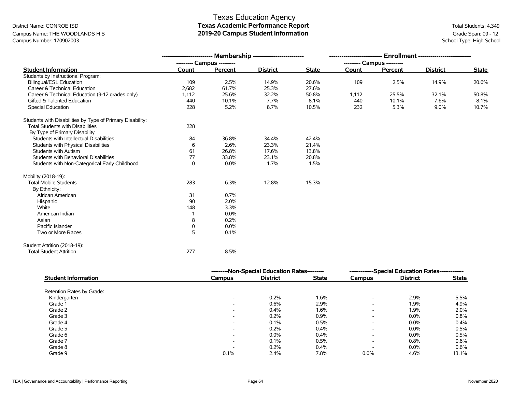|                                                           |             | -------- Campus --------- |                 |              |       |                                       |                 |              |
|-----------------------------------------------------------|-------------|---------------------------|-----------------|--------------|-------|---------------------------------------|-----------------|--------------|
| <b>Student Information</b>                                | Count       | Percent                   | <b>District</b> | <b>State</b> | Count | --------- Campus ---------<br>Percent | <b>District</b> | <b>State</b> |
| Students by Instructional Program:                        |             |                           |                 |              |       |                                       |                 |              |
| <b>Bilingual/ESL Education</b>                            | 109         | 2.5%                      | 14.9%           | 20.6%        | 109   | 2.5%                                  | 14.9%           | 20.6%        |
| Career & Technical Education                              | 2,682       | 61.7%                     | 25.3%           | 27.6%        |       |                                       |                 |              |
| Career & Technical Education (9-12 grades only)           | 1,112       | 25.6%                     | 32.2%           | 50.8%        | 1,112 | 25.5%                                 | 32.1%           | 50.8%        |
| Gifted & Talented Education                               | 440         | 10.1%                     | 7.7%            | 8.1%         | 440   | 10.1%                                 | 7.6%            | 8.1%         |
| <b>Special Education</b>                                  | 228         | 5.2%                      | 8.7%            | 10.5%        | 232   | 5.3%                                  | 9.0%            | 10.7%        |
| Students with Disabilities by Type of Primary Disability: |             |                           |                 |              |       |                                       |                 |              |
| <b>Total Students with Disabilities</b>                   | 228         |                           |                 |              |       |                                       |                 |              |
| By Type of Primary Disability                             |             |                           |                 |              |       |                                       |                 |              |
| Students with Intellectual Disabilities                   | 84          | 36.8%                     | 34.4%           | 42.4%        |       |                                       |                 |              |
| Students with Physical Disabilities                       | 6           | 2.6%                      | 23.3%           | 21.4%        |       |                                       |                 |              |
| Students with Autism                                      | 61          | 26.8%                     | 17.6%           | 13.8%        |       |                                       |                 |              |
| Students with Behavioral Disabilities                     | 77          | 33.8%                     | 23.1%           | 20.8%        |       |                                       |                 |              |
| Students with Non-Categorical Early Childhood             | $\mathbf 0$ | 0.0%                      | 1.7%            | 1.5%         |       |                                       |                 |              |
| Mobility (2018-19):                                       |             |                           |                 |              |       |                                       |                 |              |
| <b>Total Mobile Students</b>                              | 283         | 6.3%                      | 12.8%           | 15.3%        |       |                                       |                 |              |
| By Ethnicity:                                             |             |                           |                 |              |       |                                       |                 |              |
| African American                                          | 31          | 0.7%                      |                 |              |       |                                       |                 |              |
| Hispanic                                                  | 90          | 2.0%                      |                 |              |       |                                       |                 |              |
| White                                                     | 148         | 3.3%                      |                 |              |       |                                       |                 |              |
| American Indian                                           |             | 0.0%                      |                 |              |       |                                       |                 |              |
| Asian                                                     | 8           | 0.2%                      |                 |              |       |                                       |                 |              |
| Pacific Islander                                          | 0           | 0.0%                      |                 |              |       |                                       |                 |              |
| Two or More Races                                         | 5           | 0.1%                      |                 |              |       |                                       |                 |              |
| Student Attrition (2018-19):                              |             |                           |                 |              |       |                                       |                 |              |
| <b>Total Student Attrition</b>                            | 277         | 8.5%                      |                 |              |       |                                       |                 |              |

|                            |                          | ---------Non-Special Education Rates--------- |              |                          | ---Special Education Rates------------- |              |  |
|----------------------------|--------------------------|-----------------------------------------------|--------------|--------------------------|-----------------------------------------|--------------|--|
| <b>Student Information</b> | Campus                   | <b>District</b>                               | <b>State</b> | Campus                   | <b>District</b>                         | <b>State</b> |  |
| Retention Rates by Grade:  |                          |                                               |              |                          |                                         |              |  |
| Kindergarten               | -                        | 0.2%                                          | 1.6%         | $\overline{\phantom{a}}$ | 2.9%                                    | 5.5%         |  |
| Grade 1                    | $\overline{\phantom{0}}$ | 0.6%                                          | 2.9%         | $\overline{\phantom{a}}$ | 1.9%                                    | 4.9%         |  |
| Grade 2                    | $\overline{\phantom{0}}$ | 0.4%                                          | 1.6%         | $\overline{\phantom{a}}$ | 1.9%                                    | 2.0%         |  |
| Grade 3                    | $\overline{\phantom{a}}$ | 0.2%                                          | 0.9%         | $\overline{\phantom{a}}$ | 0.0%                                    | $0.8\%$      |  |
| Grade 4                    | -                        | 0.1%                                          | 0.5%         | $\overline{\phantom{a}}$ | $0.0\%$                                 | 0.4%         |  |
| Grade 5                    | $\overline{\phantom{0}}$ | 0.2%                                          | 0.4%         | $\overline{\phantom{0}}$ | $0.0\%$                                 | 0.5%         |  |
| Grade 6                    | $\overline{\phantom{0}}$ | $0.0\%$                                       | 0.4%         | $\overline{\phantom{a}}$ | $0.0\%$                                 | 0.5%         |  |
| Grade 7                    | $\overline{\phantom{0}}$ | 0.1%                                          | 0.5%         | $\overline{\phantom{a}}$ | 0.8%                                    | 0.6%         |  |
| Grade 8                    |                          | 0.2%                                          | 0.4%         | $\overline{\phantom{0}}$ | $0.0\%$                                 | 0.6%         |  |
| Grade 9                    | 0.1%                     | 2.4%                                          | 7.8%         | 0.0%                     | 4.6%                                    | 13.1%        |  |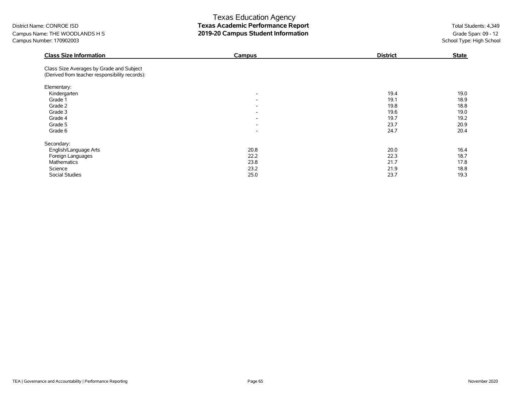| <b>Class Size Information</b>                  | Campus                   | <b>District</b> | <b>State</b> |
|------------------------------------------------|--------------------------|-----------------|--------------|
| Class Size Averages by Grade and Subject       |                          |                 |              |
| (Derived from teacher responsibility records): |                          |                 |              |
| Elementary:                                    |                          |                 |              |
| Kindergarten                                   | $\overline{\phantom{a}}$ | 19.4            | 19.0         |
| Grade 1                                        | $\overline{\phantom{a}}$ | 19.1            | 18.9         |
| Grade 2                                        | -                        | 19.8            | 18.8         |
| Grade 3                                        | $\overline{\phantom{a}}$ | 19.6            | 19.0         |
| Grade 4                                        | $\overline{\phantom{a}}$ | 19.7            | 19.2         |
| Grade 5                                        | $\overline{\phantom{0}}$ | 23.7            | 20.9         |
| Grade 6                                        | $\overline{\phantom{0}}$ | 24.7            | 20.4         |
| Secondary:                                     |                          |                 |              |
| English/Language Arts                          | 20.8                     | 20.0            | 16.4         |
| Foreign Languages                              | 22.2                     | 22.3            | 18.7         |
| Mathematics                                    | 23.8                     | 21.7            | 17.8         |
| Science                                        | 23.2                     | 21.9            | 18.8         |
| <b>Social Studies</b>                          | 25.0                     | 23.7            | 19.3         |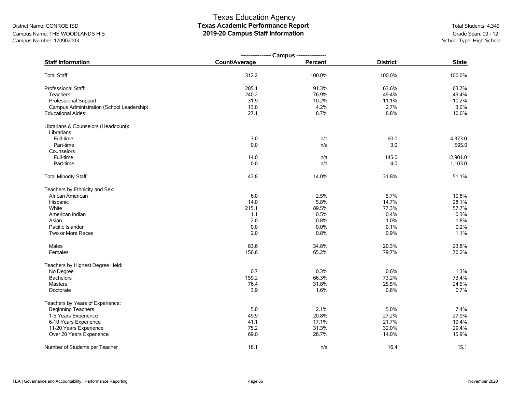#### Campus Name: THE WOODLANDS H S<br>Crade Span: 09 - 12<br>School Type: High School Campus Number: 170902003

#### Texas Education Agency District Name: CONROE ISD **Texas Academic Performance Report Texas Academic Performance Report** Total Students: 4,349

|                                                    |               | Campus ---------------- |                 |              |
|----------------------------------------------------|---------------|-------------------------|-----------------|--------------|
| <b>Staff Information</b>                           | Count/Average | Percent                 | <b>District</b> | <b>State</b> |
| <b>Total Staff</b>                                 | 312.2         | 100.0%                  | 100.0%          | 100.0%       |
| Professional Staff:                                | 285.1         | 91.3%                   | 63.6%           | 63.7%        |
| Teachers                                           | 240.2         | 76.9%                   | 49.4%           | 49.4%        |
| <b>Professional Support</b>                        | 31.9          | 10.2%                   | 11.1%           | 10.2%        |
| Campus Administration (School Leadership)          | 13.0          | 4.2%                    | 2.7%            | 3.0%         |
| <b>Educational Aides:</b>                          | 27.1          | 8.7%                    | 8.8%            | 10.6%        |
| Librarians & Counselors (Headcount):<br>Librarians |               |                         |                 |              |
| Full-time                                          | 3.0           | n/a                     | 60.0            | 4,373.0      |
| Part-time                                          | 0.0           | n/a                     | 3.0             | 595.0        |
| Counselors                                         |               |                         |                 |              |
| Full-time                                          | 14.0          | n/a                     | 145.0           | 12,901.0     |
| Part-time                                          | 0.0           | n/a                     | 4.0             | 1,103.0      |
|                                                    |               |                         |                 |              |
| <b>Total Minority Staff:</b>                       | 43.8          | 14.0%                   | 31.8%           | 51.1%        |
| Teachers by Ethnicity and Sex:                     |               |                         |                 |              |
| African American                                   | 6.0           | 2.5%                    | 5.7%            | 10.8%        |
| Hispanic                                           | 14.0          | 5.8%                    | 14.7%           | 28.1%        |
| White                                              | 215.1         | 89.5%                   | 77.3%           | 57.7%        |
| American Indian                                    | 1.1           | 0.5%                    | 0.4%            | 0.3%         |
| Asian                                              | 2.0           | 0.8%                    | 1.0%            | 1.8%         |
| Pacific Islander                                   | 0.0           | 0.0%                    | 0.1%            | 0.2%         |
| Two or More Races                                  | 2.0           | 0.8%                    | 0.9%            | 1.1%         |
| Males                                              | 83.6          | 34.8%                   | 20.3%           | 23.8%        |
| Females                                            | 156.6         | 65.2%                   | 79.7%           | 76.2%        |
| Teachers by Highest Degree Held:                   |               |                         |                 |              |
| No Degree                                          | 0.7           | 0.3%                    | 0.6%            | 1.3%         |
| <b>Bachelors</b>                                   | 159.2         | 66.3%                   | 73.2%           | 73.4%        |
| <b>Masters</b>                                     | 76.4          | 31.8%                   | 25.5%           | 24.5%        |
| Doctorate                                          | 3.9           | 1.6%                    | 0.8%            | 0.7%         |
| Teachers by Years of Experience:                   |               |                         |                 |              |
| <b>Beginning Teachers</b>                          | 5.0           | 2.1%                    | 5.0%            | 7.4%         |
| 1-5 Years Experience                               | 49.9          | 20.8%                   | 27.2%           | 27.9%        |
| 6-10 Years Experience                              | 41.1          | 17.1%                   | 21.7%           | 19.4%        |
| 11-20 Years Experience                             | 75.2          | 31.3%                   | 32.0%           | 29.4%        |
| Over 20 Years Experience                           | 69.0          | 28.7%                   | 14.0%           | 15.9%        |
| Number of Students per Teacher                     | 18.1          | n/a                     | 16.4            | 15.1         |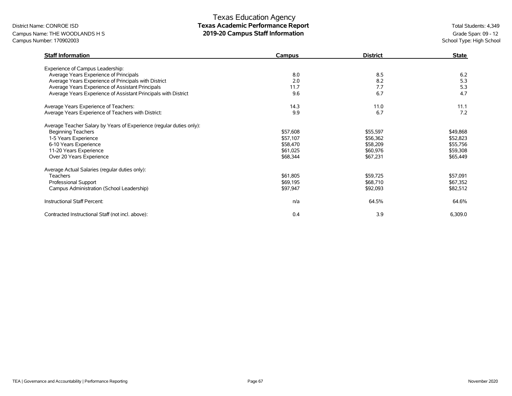#### Texas Education Agency District Name: CONROE ISD **Texas Academic Performance Report** Total Students: 4,349

Campus Name: THE WOODLANDS H S<br>Campus Number: 170902003<br>School Type: High School Campus Number: 170902003

| <b>Staff Information</b>                                             | Campus   | <b>District</b> | <b>State</b> |
|----------------------------------------------------------------------|----------|-----------------|--------------|
| Experience of Campus Leadership:                                     |          |                 |              |
| Average Years Experience of Principals                               | 8.0      | 8.5             | 6.2          |
| Average Years Experience of Principals with District                 | 2.0      | 8.2             | 5.3          |
| Average Years Experience of Assistant Principals                     | 11.7     | 7.7             | 5.3          |
| Average Years Experience of Assistant Principals with District       | 9.6      | 6.7             | 4.7          |
| Average Years Experience of Teachers:                                | 14.3     | 11.0            | 11.1         |
| Average Years Experience of Teachers with District:                  | 9.9      | 6.7             | 7.2          |
| Average Teacher Salary by Years of Experience (regular duties only): |          |                 |              |
| <b>Beginning Teachers</b>                                            | \$57,608 | \$55,597        | \$49,868     |
| 1-5 Years Experience                                                 | \$57,107 | \$56,362        | \$52,823     |
| 6-10 Years Experience                                                | \$58,470 | \$58,209        | \$55,756     |
| 11-20 Years Experience                                               | \$61,025 | \$60,976        | \$59,308     |
| Over 20 Years Experience                                             | \$68,344 | \$67,231        | \$65,449     |
| Average Actual Salaries (regular duties only):                       |          |                 |              |
| Teachers                                                             | \$61,805 | \$59,725        | \$57,091     |
| Professional Support                                                 | \$69,195 | \$68,710        | \$67,352     |
| Campus Administration (School Leadership)                            | \$97,947 | \$92,093        | \$82,512     |
| Instructional Staff Percent:                                         | n/a      | 64.5%           | 64.6%        |
| Contracted Instructional Staff (not incl. above):                    | 0.4      | 3.9             | 6,309.0      |